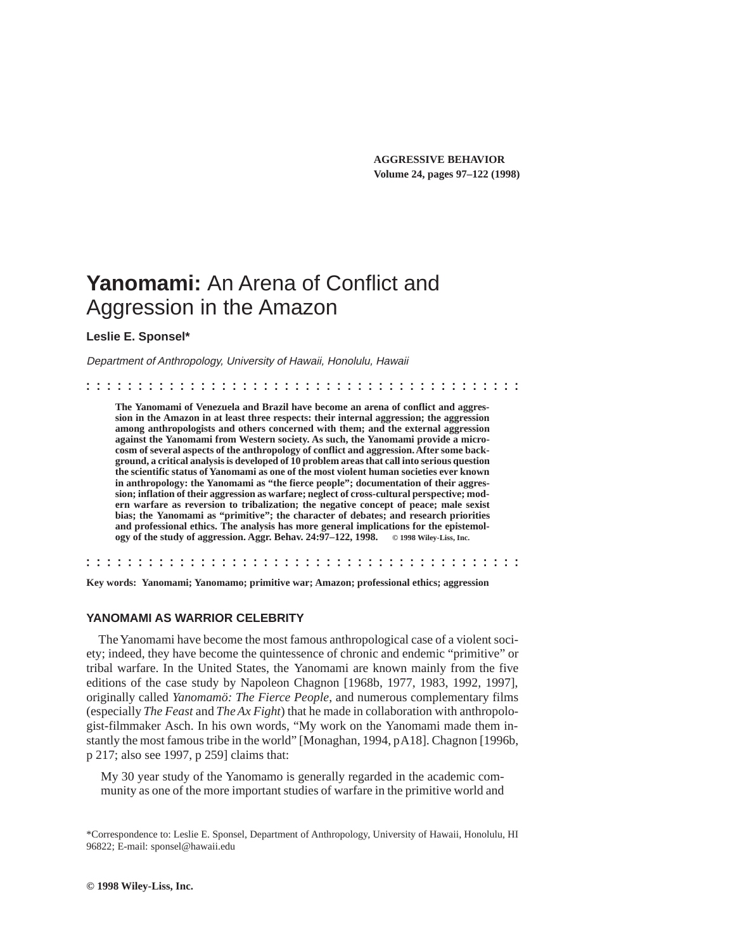**AGGRESSIVE BEHAVIOR Volume 24, pages 97–122 (1998)**

# **Yanomami:** An Arena of Conflict and Aggression in the Amazon

# **Leslie E. Sponsel\***

Department of Anthropology, University of Hawaii, Honolulu, Hawaii

**. . . . . . . . . . . . . . . . . . . . . . . . . . . . . . . . . . . . . . . . . . . . . . . . . . . . . . . . . . . . . . . . . . . . . . . . . . . . . . . . . . . .**

**The Yanomami of Venezuela and Brazil have become an arena of conflict and aggression in the Amazon in at least three respects: their internal aggression; the aggression among anthropologists and others concerned with them; and the external aggression against the Yanomami from Western society. As such, the Yanomami provide a microcosm of several aspects of the anthropology of conflict and aggression. After some background, a critical analysis is developed of 10 problem areas that call into serious question the scientific status of Yanomami as one of the most violent human societies ever known in anthropology: the Yanomami as "the fierce people"; documentation of their aggression; inflation of their aggression as warfare; neglect of cross-cultural perspective; modern warfare as reversion to tribalization; the negative concept of peace; male sexist bias; the Yanomami as "primitive"; the character of debates; and research priorities and professional ethics. The analysis has more general implications for the epistemology of the study of aggression. Aggr. Behav. 24:97–122, 1998. © 1998 Wiley-Liss, Inc.**

**. . . . . . . . . . . . . . . . . . . . . . . . . . . . . . . . . . . . . . . . . . . . . . . . . . . . . . . . . . . . . . . . . . . . . . . . . . . . . . . . . . . .**

**Key words: Yanomami; Yanomamo; primitive war; Amazon; professional ethics; aggression**

#### **YANOMAMI AS WARRIOR CELEBRITY**

The Yanomami have become the most famous anthropological case of a violent society; indeed, they have become the quintessence of chronic and endemic "primitive" or tribal warfare. In the United States, the Yanomami are known mainly from the five editions of the case study by Napoleon Chagnon [1968b, 1977, 1983, 1992, 1997], originally called *Yanomamö: The Fierce People*, and numerous complementary films (especially *The Feast* and *The Ax Fight*) that he made in collaboration with anthropologist-filmmaker Asch. In his own words, "My work on the Yanomami made them instantly the most famous tribe in the world" [Monaghan, 1994, p A18]. Chagnon [1996b, p 217; also see 1997, p 259] claims that:

My 30 year study of the Yanomamo is generally regarded in the academic community as one of the more important studies of warfare in the primitive world and

<sup>\*</sup>Correspondence to: Leslie E. Sponsel, Department of Anthropology, University of Hawaii, Honolulu, HI 96822; E-mail: sponsel@hawaii.edu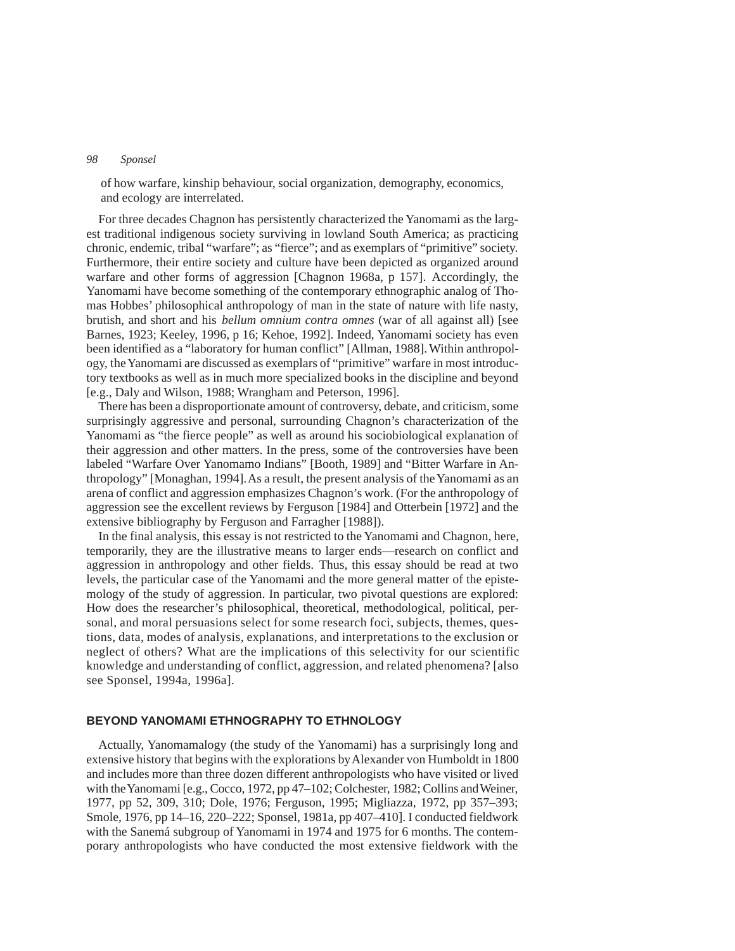of how warfare, kinship behaviour, social organization, demography, economics, and ecology are interrelated.

For three decades Chagnon has persistently characterized the Yanomami as the largest traditional indigenous society surviving in lowland South America; as practicing chronic, endemic, tribal "warfare"; as "fierce"; and as exemplars of "primitive" society. Furthermore, their entire society and culture have been depicted as organized around warfare and other forms of aggression [Chagnon 1968a, p 157]. Accordingly, the Yanomami have become something of the contemporary ethnographic analog of Thomas Hobbes' philosophical anthropology of man in the state of nature with life nasty, brutish, and short and his *bellum omnium contra omnes* (war of all against all) [see Barnes, 1923; Keeley, 1996, p 16; Kehoe, 1992]. Indeed, Yanomami society has even been identified as a "laboratory for human conflict" [Allman, 1988]. Within anthropology, the Yanomami are discussed as exemplars of "primitive" warfare in most introductory textbooks as well as in much more specialized books in the discipline and beyond [e.g., Daly and Wilson, 1988; Wrangham and Peterson, 1996].

There has been a disproportionate amount of controversy, debate, and criticism, some surprisingly aggressive and personal, surrounding Chagnon's characterization of the Yanomami as "the fierce people" as well as around his sociobiological explanation of their aggression and other matters. In the press, some of the controversies have been labeled "Warfare Over Yanomamo Indians" [Booth, 1989] and "Bitter Warfare in Anthropology" [Monaghan, 1994]. As a result, the present analysis of the Yanomami as an arena of conflict and aggression emphasizes Chagnon's work. (For the anthropology of aggression see the excellent reviews by Ferguson [1984] and Otterbein [1972] and the extensive bibliography by Ferguson and Farragher [1988]).

In the final analysis, this essay is not restricted to the Yanomami and Chagnon, here, temporarily, they are the illustrative means to larger ends—research on conflict and aggression in anthropology and other fields. Thus, this essay should be read at two levels, the particular case of the Yanomami and the more general matter of the epistemology of the study of aggression. In particular, two pivotal questions are explored: How does the researcher's philosophical, theoretical, methodological, political, personal, and moral persuasions select for some research foci, subjects, themes, questions, data, modes of analysis, explanations, and interpretations to the exclusion or neglect of others? What are the implications of this selectivity for our scientific knowledge and understanding of conflict, aggression, and related phenomena? [also see Sponsel, 1994a, 1996a].

# **BEYOND YANOMAMI ETHNOGRAPHY TO ETHNOLOGY**

Actually, Yanomamalogy (the study of the Yanomami) has a surprisingly long and extensive history that begins with the explorations by Alexander von Humboldt in 1800 and includes more than three dozen different anthropologists who have visited or lived with the Yanomami [e.g., Cocco, 1972, pp 47–102; Colchester, 1982; Collins and Weiner, 1977, pp 52, 309, 310; Dole, 1976; Ferguson, 1995; Migliazza, 1972, pp 357–393; Smole, 1976, pp 14–16, 220–222; Sponsel, 1981a, pp 407–410]. I conducted fieldwork with the Sanemá subgroup of Yanomami in 1974 and 1975 for 6 months. The contemporary anthropologists who have conducted the most extensive fieldwork with the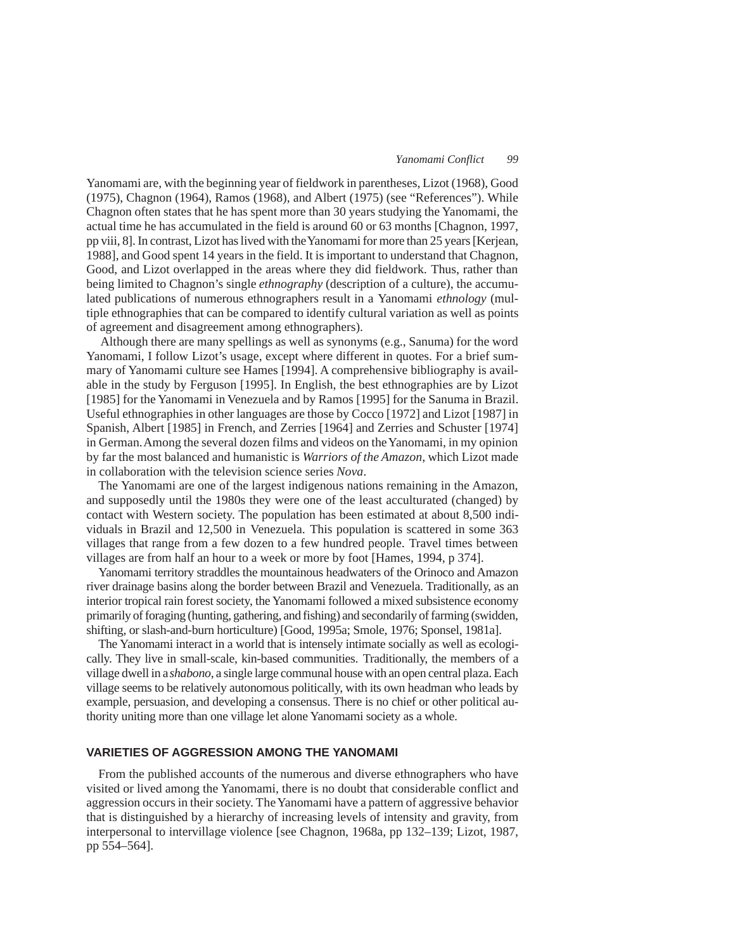Yanomami are, with the beginning year of fieldwork in parentheses, Lizot (1968), Good (1975), Chagnon (1964), Ramos (1968), and Albert (1975) (see "References"). While Chagnon often states that he has spent more than 30 years studying the Yanomami, the actual time he has accumulated in the field is around 60 or 63 months [Chagnon, 1997, pp viii, 8]. In contrast, Lizot has lived with the Yanomami for more than 25 years [Kerjean, 1988], and Good spent 14 years in the field. It is important to understand that Chagnon, Good, and Lizot overlapped in the areas where they did fieldwork. Thus, rather than being limited to Chagnon's single *ethnography* (description of a culture), the accumulated publications of numerous ethnographers result in a Yanomami *ethnology* (multiple ethnographies that can be compared to identify cultural variation as well as points of agreement and disagreement among ethnographers).

 Although there are many spellings as well as synonyms (e.g., Sanuma) for the word Yanomami, I follow Lizot's usage, except where different in quotes. For a brief summary of Yanomami culture see Hames [1994]. A comprehensive bibliography is available in the study by Ferguson [1995]. In English, the best ethnographies are by Lizot [1985] for the Yanomami in Venezuela and by Ramos [1995] for the Sanuma in Brazil. Useful ethnographies in other languages are those by Cocco [1972] and Lizot [1987] in Spanish, Albert [1985] in French, and Zerries [1964] and Zerries and Schuster [1974] in German. Among the several dozen films and videos on the Yanomami, in my opinion by far the most balanced and humanistic is *Warriors of the Amazon,* which Lizot made in collaboration with the television science series *Nova*.

The Yanomami are one of the largest indigenous nations remaining in the Amazon, and supposedly until the 1980s they were one of the least acculturated (changed) by contact with Western society. The population has been estimated at about 8,500 individuals in Brazil and 12,500 in Venezuela. This population is scattered in some 363 villages that range from a few dozen to a few hundred people. Travel times between villages are from half an hour to a week or more by foot [Hames, 1994, p 374].

Yanomami territory straddles the mountainous headwaters of the Orinoco and Amazon river drainage basins along the border between Brazil and Venezuela. Traditionally, as an interior tropical rain forest society, the Yanomami followed a mixed subsistence economy primarily of foraging (hunting, gathering, and fishing) and secondarily of farming (swidden, shifting, or slash-and-burn horticulture) [Good, 1995a; Smole, 1976; Sponsel, 1981a].

The Yanomami interact in a world that is intensely intimate socially as well as ecologically. They live in small-scale, kin-based communities. Traditionally, the members of a village dwell in a *shabono*, a single large communal house with an open central plaza. Each village seems to be relatively autonomous politically, with its own headman who leads by example, persuasion, and developing a consensus. There is no chief or other political authority uniting more than one village let alone Yanomami society as a whole.

# **VARIETIES OF AGGRESSION AMONG THE YANOMAMI**

From the published accounts of the numerous and diverse ethnographers who have visited or lived among the Yanomami, there is no doubt that considerable conflict and aggression occurs in their society. The Yanomami have a pattern of aggressive behavior that is distinguished by a hierarchy of increasing levels of intensity and gravity, from interpersonal to intervillage violence [see Chagnon, 1968a, pp 132–139; Lizot, 1987, pp 554–564].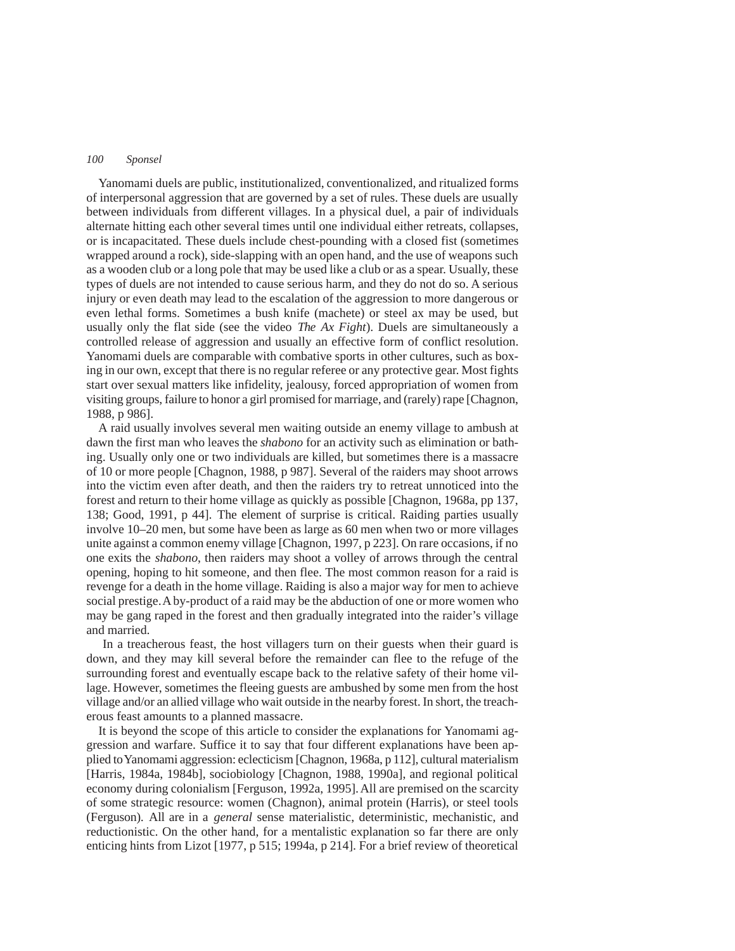Yanomami duels are public, institutionalized, conventionalized, and ritualized forms of interpersonal aggression that are governed by a set of rules. These duels are usually between individuals from different villages. In a physical duel, a pair of individuals alternate hitting each other several times until one individual either retreats, collapses, or is incapacitated. These duels include chest-pounding with a closed fist (sometimes wrapped around a rock), side-slapping with an open hand, and the use of weapons such as a wooden club or a long pole that may be used like a club or as a spear. Usually, these types of duels are not intended to cause serious harm, and they do not do so. A serious injury or even death may lead to the escalation of the aggression to more dangerous or even lethal forms. Sometimes a bush knife (machete) or steel ax may be used, but usually only the flat side (see the video *The Ax Fight*). Duels are simultaneously a controlled release of aggression and usually an effective form of conflict resolution. Yanomami duels are comparable with combative sports in other cultures, such as boxing in our own, except that there is no regular referee or any protective gear. Most fights start over sexual matters like infidelity, jealousy, forced appropriation of women from visiting groups, failure to honor a girl promised for marriage, and (rarely) rape [Chagnon, 1988, p 986].

A raid usually involves several men waiting outside an enemy village to ambush at dawn the first man who leaves the *shabono* for an activity such as elimination or bathing. Usually only one or two individuals are killed, but sometimes there is a massacre of 10 or more people [Chagnon, 1988, p 987]. Several of the raiders may shoot arrows into the victim even after death, and then the raiders try to retreat unnoticed into the forest and return to their home village as quickly as possible [Chagnon, 1968a, pp 137, 138; Good, 1991, p 44]. The element of surprise is critical. Raiding parties usually involve 10–20 men, but some have been as large as 60 men when two or more villages unite against a common enemy village [Chagnon, 1997, p 223]. On rare occasions, if no one exits the *shabono*, then raiders may shoot a volley of arrows through the central opening, hoping to hit someone, and then flee. The most common reason for a raid is revenge for a death in the home village. Raiding is also a major way for men to achieve social prestige. A by-product of a raid may be the abduction of one or more women who may be gang raped in the forest and then gradually integrated into the raider's village and married.

 In a treacherous feast, the host villagers turn on their guests when their guard is down, and they may kill several before the remainder can flee to the refuge of the surrounding forest and eventually escape back to the relative safety of their home village. However, sometimes the fleeing guests are ambushed by some men from the host village and/or an allied village who wait outside in the nearby forest. In short, the treacherous feast amounts to a planned massacre.

It is beyond the scope of this article to consider the explanations for Yanomami aggression and warfare. Suffice it to say that four different explanations have been applied to Yanomami aggression: eclecticism [Chagnon, 1968a, p 112], cultural materialism [Harris, 1984a, 1984b], sociobiology [Chagnon, 1988, 1990a], and regional political economy during colonialism [Ferguson, 1992a, 1995]. All are premised on the scarcity of some strategic resource: women (Chagnon), animal protein (Harris), or steel tools (Ferguson). All are in a *general* sense materialistic, deterministic, mechanistic, and reductionistic. On the other hand, for a mentalistic explanation so far there are only enticing hints from Lizot [1977, p 515; 1994a, p 214]. For a brief review of theoretical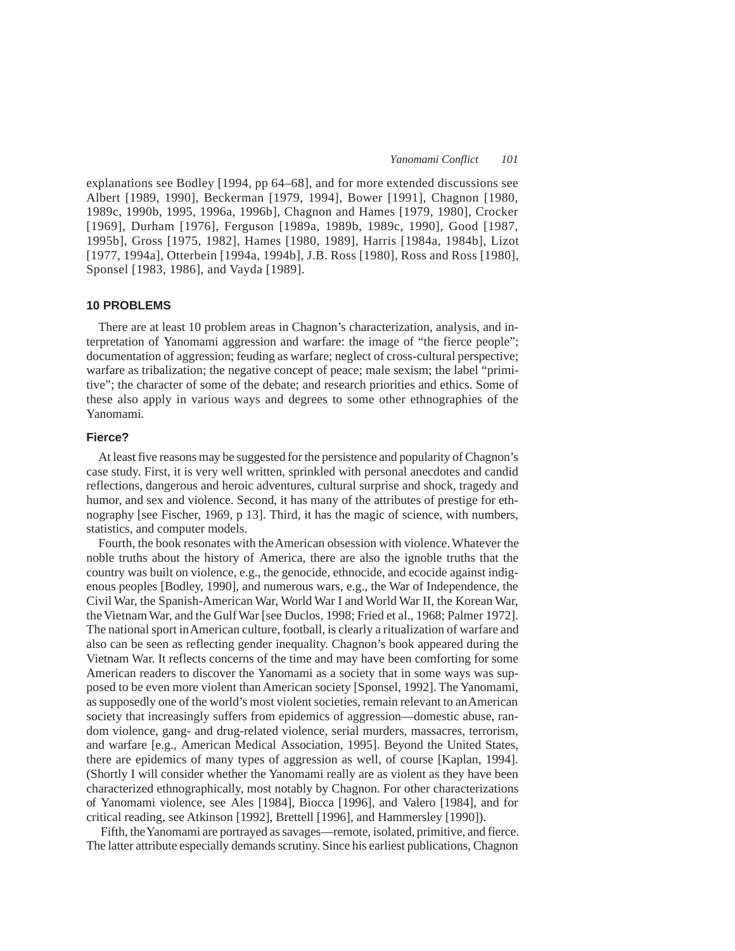explanations see Bodley [1994, pp 64–68], and for more extended discussions see Albert [1989, 1990], Beckerman [1979, 1994], Bower [1991], Chagnon [1980, 1989c, 1990b, 1995, 1996a, 1996b], Chagnon and Hames [1979, 1980], Crocker [1969], Durham [1976], Ferguson [1989a, 1989b, 1989c, 1990], Good [1987, 1995b], Gross [1975, 1982], Hames [1980, 1989], Harris [1984a, 1984b], Lizot [1977, 1994a], Otterbein [1994a, 1994b], J.B. Ross [1980], Ross and Ross [1980], Sponsel [1983, 1986], and Vayda [1989].

#### **10 PROBLEMS**

There are at least 10 problem areas in Chagnon's characterization, analysis, and interpretation of Yanomami aggression and warfare: the image of "the fierce people"; documentation of aggression; feuding as warfare; neglect of cross-cultural perspective; warfare as tribalization; the negative concept of peace; male sexism; the label "primitive"; the character of some of the debate; and research priorities and ethics. Some of these also apply in various ways and degrees to some other ethnographies of the Yanomami*.*

#### **Fierce?**

At least five reasons may be suggested for the persistence and popularity of Chagnon's case study. First, it is very well written, sprinkled with personal anecdotes and candid reflections, dangerous and heroic adventures, cultural surprise and shock, tragedy and humor, and sex and violence. Second, it has many of the attributes of prestige for ethnography [see Fischer, 1969, p 13]. Third, it has the magic of science, with numbers, statistics, and computer models.

Fourth, the book resonates with the American obsession with violence. Whatever the noble truths about the history of America, there are also the ignoble truths that the country was built on violence, e.g., the genocide, ethnocide, and ecocide against indigenous peoples [Bodley, 1990], and numerous wars, e.g., the War of Independence, the Civil War, the Spanish-American War, World War I and World War II, the Korean War, the Vietnam War, and the Gulf War [see Duclos, 1998; Fried et al., 1968; Palmer 1972]. The national sport in American culture, football, is clearly a ritualization of warfare and also can be seen as reflecting gender inequality. Chagnon's book appeared during the Vietnam War. It reflects concerns of the time and may have been comforting for some American readers to discover the Yanomami as a society that in some ways was supposed to be even more violent than American society [Sponsel, 1992]. The Yanomami, as supposedly one of the world's most violent societies, remain relevant to an American society that increasingly suffers from epidemics of aggression—domestic abuse, random violence, gang- and drug-related violence, serial murders, massacres, terrorism, and warfare [e.g., American Medical Association, 1995]. Beyond the United States, there are epidemics of many types of aggression as well, of course [Kaplan, 1994]. (Shortly I will consider whether the Yanomami really are as violent as they have been characterized ethnographically, most notably by Chagnon. For other characterizations of Yanomami violence, see Ales [1984], Biocca [1996], and Valero [1984], and for critical reading, see Atkinson [1992], Brettell [1996], and Hammersley [1990]).

 Fifth, the Yanomami are portrayed as savages—remote, isolated, primitive, and fierce. The latter attribute especially demands scrutiny. Since his earliest publications, Chagnon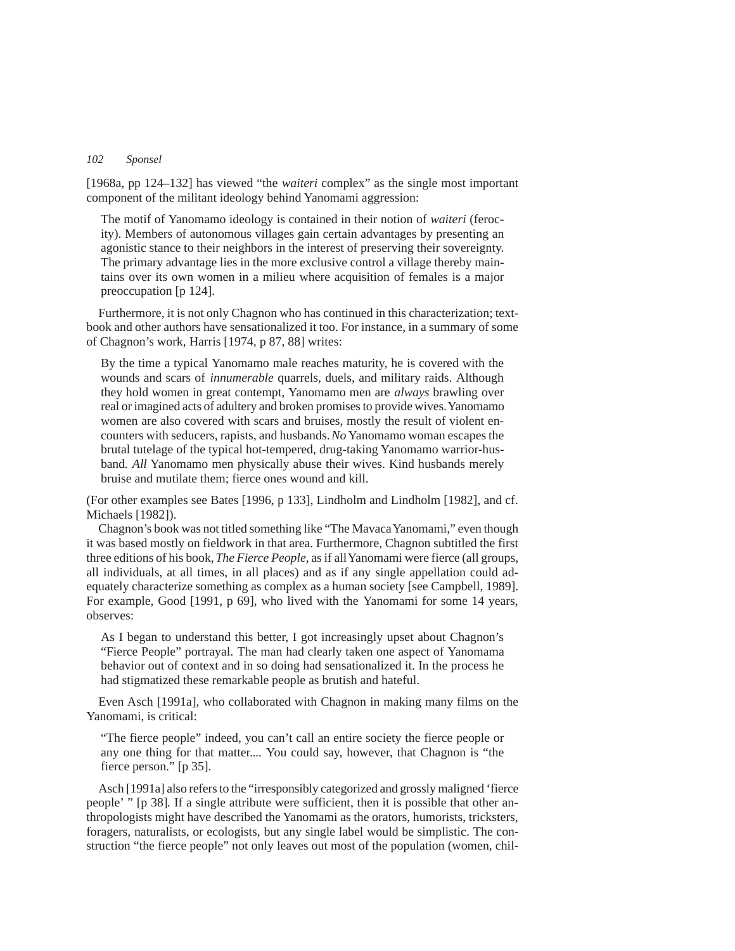[1968a, pp 124–132] has viewed "the *waiteri* complex" as the single most important component of the militant ideology behind Yanomami aggression:

The motif of Yanomamo ideology is contained in their notion of *waiteri* (ferocity). Members of autonomous villages gain certain advantages by presenting an agonistic stance to their neighbors in the interest of preserving their sovereignty. The primary advantage lies in the more exclusive control a village thereby maintains over its own women in a milieu where acquisition of females is a major preoccupation [p 124].

Furthermore, it is not only Chagnon who has continued in this characterization; textbook and other authors have sensationalized it too. For instance, in a summary of some of Chagnon's work, Harris [1974, p 87, 88] writes:

By the time a typical Yanomamo male reaches maturity, he is covered with the wounds and scars of *innumerable* quarrels, duels, and military raids. Although they hold women in great contempt, Yanomamo men are *always* brawling over real or imagined acts of adultery and broken promises to provide wives. Yanomamo women are also covered with scars and bruises, mostly the result of violent encounters with seducers, rapists, and husbands. *No* Yanomamo woman escapes the brutal tutelage of the typical hot-tempered, drug-taking Yanomamo warrior-husband. *All* Yanomamo men physically abuse their wives. Kind husbands merely bruise and mutilate them; fierce ones wound and kill.

(For other examples see Bates [1996, p 133], Lindholm and Lindholm [1982], and cf. Michaels [1982]).

Chagnon's book was not titled something like "The Mavaca Yanomami," even though it was based mostly on fieldwork in that area. Furthermore, Chagnon subtitled the first three editions of his book, *The Fierce People,* as if all Yanomami were fierce (all groups, all individuals, at all times, in all places) and as if any single appellation could adequately characterize something as complex as a human society [see Campbell, 1989]. For example, Good [1991, p 69], who lived with the Yanomami for some 14 years, observes:

As I began to understand this better, I got increasingly upset about Chagnon's "Fierce People" portrayal. The man had clearly taken one aspect of Yanomama behavior out of context and in so doing had sensationalized it. In the process he had stigmatized these remarkable people as brutish and hateful.

Even Asch [1991a], who collaborated with Chagnon in making many films on the Yanomami, is critical:

"The fierce people" indeed, you can't call an entire society the fierce people or any one thing for that matter.... You could say, however, that Chagnon is "the fierce person." [p 35].

Asch [1991a] also refers to the "irresponsibly categorized and grossly maligned 'fierce people' " [p 38]*.* If a single attribute were sufficient, then it is possible that other anthropologists might have described the Yanomami as the orators, humorists, tricksters, foragers, naturalists, or ecologists, but any single label would be simplistic. The construction "the fierce people" not only leaves out most of the population (women, chil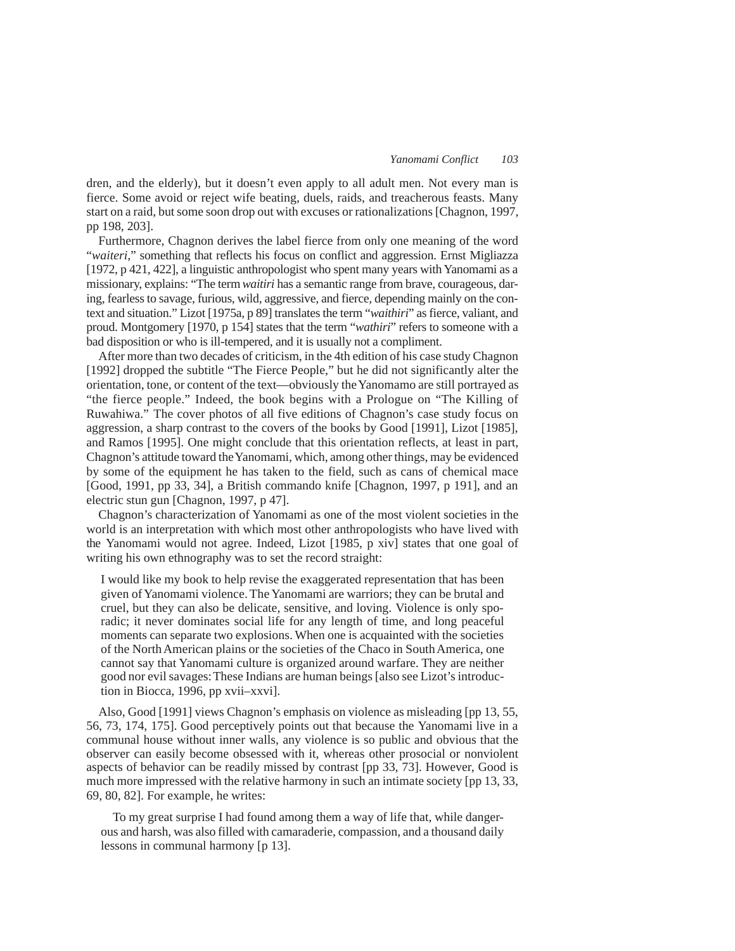dren, and the elderly), but it doesn't even apply to all adult men. Not every man is fierce. Some avoid or reject wife beating, duels, raids, and treacherous feasts. Many start on a raid, but some soon drop out with excuses or rationalizations [Chagnon, 1997, pp 198, 203].

Furthermore, Chagnon derives the label fierce from only one meaning of the word "*waiteri*," something that reflects his focus on conflict and aggression. Ernst Migliazza [1972, p 421, 422], a linguistic anthropologist who spent many years with Yanomami as a missionary, explains: "The term *waitiri* has a semantic range from brave, courageous, daring, fearless to savage, furious, wild, aggressive, and fierce, depending mainly on the context and situation." Lizot [1975a, p 89] translates the term "*waithiri*" as fierce, valiant, and proud. Montgomery [1970, p 154] states that the term "*wathiri*" refers to someone with a bad disposition or who is ill-tempered, and it is usually not a compliment.

After more than two decades of criticism, in the 4th edition of his case study Chagnon [1992] dropped the subtitle "The Fierce People," but he did not significantly alter the orientation, tone, or content of the text—obviously the Yanomamo are still portrayed as "the fierce people." Indeed, the book begins with a Prologue on "The Killing of Ruwahiwa." The cover photos of all five editions of Chagnon's case study focus on aggression, a sharp contrast to the covers of the books by Good [1991], Lizot [1985], and Ramos [1995]. One might conclude that this orientation reflects, at least in part, Chagnon's attitude toward the Yanomami, which, among other things, may be evidenced by some of the equipment he has taken to the field, such as cans of chemical mace [Good, 1991, pp 33, 34], a British commando knife [Chagnon, 1997, p 191], and an electric stun gun [Chagnon, 1997, p 47].

Chagnon's characterization of Yanomami as one of the most violent societies in the world is an interpretation with which most other anthropologists who have lived with the Yanomami would not agree. Indeed, Lizot [1985, p xiv] states that one goal of writing his own ethnography was to set the record straight:

I would like my book to help revise the exaggerated representation that has been given of Yanomami violence. The Yanomami are warriors; they can be brutal and cruel, but they can also be delicate, sensitive, and loving. Violence is only sporadic; it never dominates social life for any length of time, and long peaceful moments can separate two explosions. When one is acquainted with the societies of the North American plains or the societies of the Chaco in South America, one cannot say that Yanomami culture is organized around warfare. They are neither good nor evil savages: These Indians are human beings [also see Lizot's introduction in Biocca, 1996, pp xvii–xxvi].

Also, Good [1991] views Chagnon's emphasis on violence as misleading [pp 13, 55, 56, 73, 174, 175]. Good perceptively points out that because the Yanomami live in a communal house without inner walls, any violence is so public and obvious that the observer can easily become obsessed with it, whereas other prosocial or nonviolent aspects of behavior can be readily missed by contrast [pp 33, 73]. However, Good is much more impressed with the relative harmony in such an intimate society [pp 13, 33, 69, 80, 82]. For example, he writes:

To my great surprise I had found among them a way of life that, while dangerous and harsh, was also filled with camaraderie, compassion, and a thousand daily lessons in communal harmony [p 13].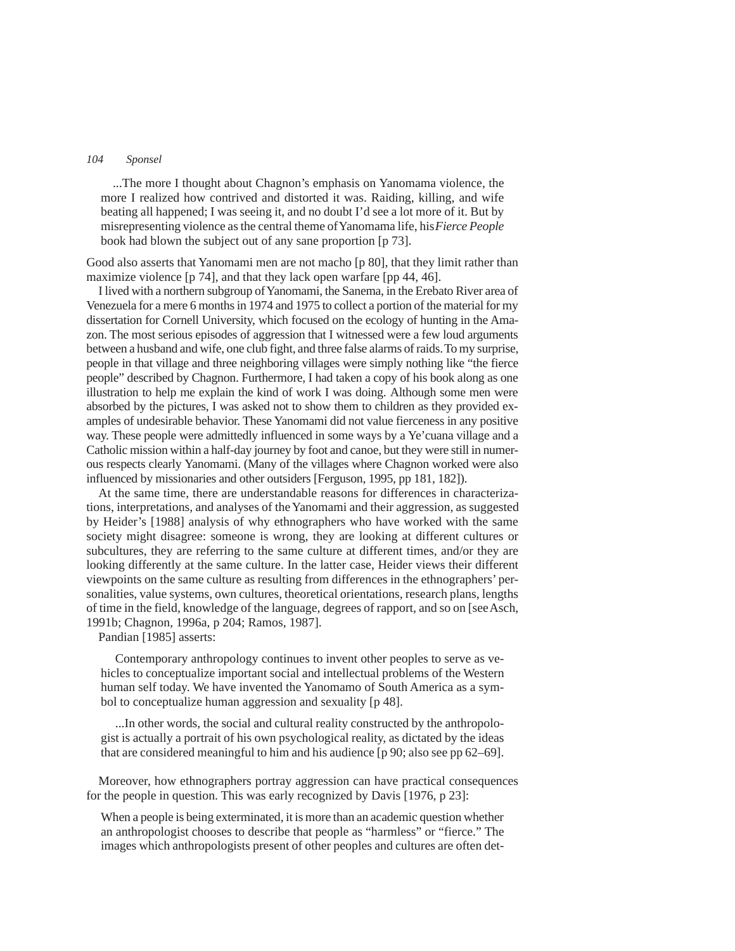...The more I thought about Chagnon's emphasis on Yanomama violence, the more I realized how contrived and distorted it was. Raiding, killing, and wife beating all happened; I was seeing it, and no doubt I'd see a lot more of it. But by misrepresenting violence as the central theme of Yanomama life, his *Fierce People* book had blown the subject out of any sane proportion [p 73].

Good also asserts that Yanomami men are not macho [p 80], that they limit rather than maximize violence [p 74], and that they lack open warfare [pp 44, 46].

I lived with a northern subgroup of Yanomami, the Sanema, in the Erebato River area of Venezuela for a mere 6 months in 1974 and 1975 to collect a portion of the material for my dissertation for Cornell University, which focused on the ecology of hunting in the Amazon. The most serious episodes of aggression that I witnessed were a few loud arguments between a husband and wife, one club fight, and three false alarms of raids. To my surprise, people in that village and three neighboring villages were simply nothing like "the fierce people" described by Chagnon. Furthermore, I had taken a copy of his book along as one illustration to help me explain the kind of work I was doing. Although some men were absorbed by the pictures, I was asked not to show them to children as they provided examples of undesirable behavior. These Yanomami did not value fierceness in any positive way. These people were admittedly influenced in some ways by a Ye'cuana village and a Catholic mission within a half-day journey by foot and canoe, but they were still in numerous respects clearly Yanomami. (Many of the villages where Chagnon worked were also influenced by missionaries and other outsiders [Ferguson, 1995, pp 181, 182]).

At the same time, there are understandable reasons for differences in characterizations, interpretations, and analyses of the Yanomami and their aggression, as suggested by Heider's [1988] analysis of why ethnographers who have worked with the same society might disagree: someone is wrong, they are looking at different cultures or subcultures, they are referring to the same culture at different times, and/or they are looking differently at the same culture. In the latter case, Heider views their different viewpoints on the same culture as resulting from differences in the ethnographers' personalities, value systems, own cultures, theoretical orientations, research plans, lengths of time in the field, knowledge of the language, degrees of rapport, and so on [see Asch, 1991b; Chagnon, 1996a, p 204; Ramos, 1987].

Pandian [1985] asserts:

Contemporary anthropology continues to invent other peoples to serve as vehicles to conceptualize important social and intellectual problems of the Western human self today. We have invented the Yanomamo of South America as a symbol to conceptualize human aggression and sexuality [p 48].

...In other words, the social and cultural reality constructed by the anthropologist is actually a portrait of his own psychological reality, as dictated by the ideas that are considered meaningful to him and his audience [p 90; also see pp 62–69].

Moreover, how ethnographers portray aggression can have practical consequences for the people in question. This was early recognized by Davis [1976, p 23]:

When a people is being exterminated, it is more than an academic question whether an anthropologist chooses to describe that people as "harmless" or "fierce." The images which anthropologists present of other peoples and cultures are often det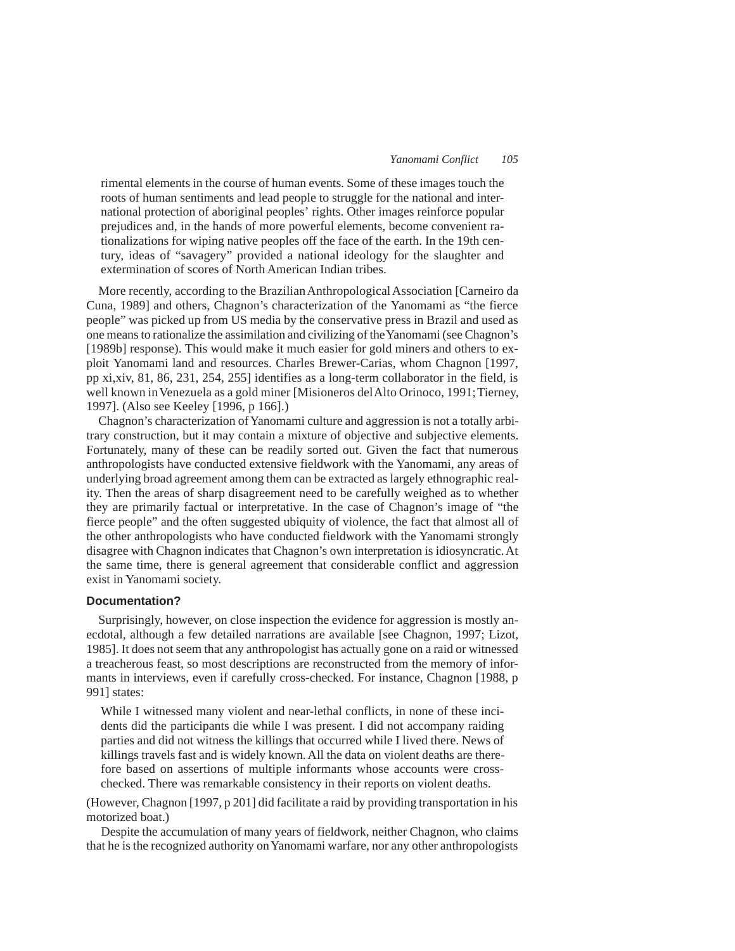rimental elements in the course of human events. Some of these images touch the roots of human sentiments and lead people to struggle for the national and international protection of aboriginal peoples' rights. Other images reinforce popular prejudices and, in the hands of more powerful elements, become convenient rationalizations for wiping native peoples off the face of the earth. In the 19th century, ideas of "savagery" provided a national ideology for the slaughter and extermination of scores of North American Indian tribes.

More recently, according to the Brazilian Anthropological Association [Carneiro da Cuna, 1989] and others, Chagnon's characterization of the Yanomami as "the fierce people" was picked up from US media by the conservative press in Brazil and used as one means to rationalize the assimilation and civilizing of the Yanomami (see Chagnon's [1989b] response). This would make it much easier for gold miners and others to exploit Yanomami land and resources. Charles Brewer-Carias, whom Chagnon [1997, pp xi,xiv, 81, 86, 231, 254, 255] identifies as a long-term collaborator in the field, is well known in Venezuela as a gold miner [Misioneros del Alto Orinoco, 1991; Tierney, 1997]. (Also see Keeley [1996, p 166].)

Chagnon's characterization of Yanomami culture and aggression is not a totally arbitrary construction, but it may contain a mixture of objective and subjective elements. Fortunately, many of these can be readily sorted out. Given the fact that numerous anthropologists have conducted extensive fieldwork with the Yanomami, any areas of underlying broad agreement among them can be extracted as largely ethnographic reality. Then the areas of sharp disagreement need to be carefully weighed as to whether they are primarily factual or interpretative. In the case of Chagnon's image of "the fierce people" and the often suggested ubiquity of violence, the fact that almost all of the other anthropologists who have conducted fieldwork with the Yanomami strongly disagree with Chagnon indicates that Chagnon's own interpretation is idiosyncratic. At the same time, there is general agreement that considerable conflict and aggression exist in Yanomami society.

#### **Documentation?**

Surprisingly, however, on close inspection the evidence for aggression is mostly anecdotal, although a few detailed narrations are available [see Chagnon, 1997; Lizot, 1985]. It does not seem that any anthropologist has actually gone on a raid or witnessed a treacherous feast, so most descriptions are reconstructed from the memory of informants in interviews, even if carefully cross-checked. For instance, Chagnon [1988, p 991] states:

While I witnessed many violent and near-lethal conflicts, in none of these incidents did the participants die while I was present. I did not accompany raiding parties and did not witness the killings that occurred while I lived there. News of killings travels fast and is widely known. All the data on violent deaths are therefore based on assertions of multiple informants whose accounts were crosschecked. There was remarkable consistency in their reports on violent deaths.

(However, Chagnon [1997, p 201] did facilitate a raid by providing transportation in his motorized boat.)

 Despite the accumulation of many years of fieldwork, neither Chagnon, who claims that he is the recognized authority on Yanomami warfare, nor any other anthropologists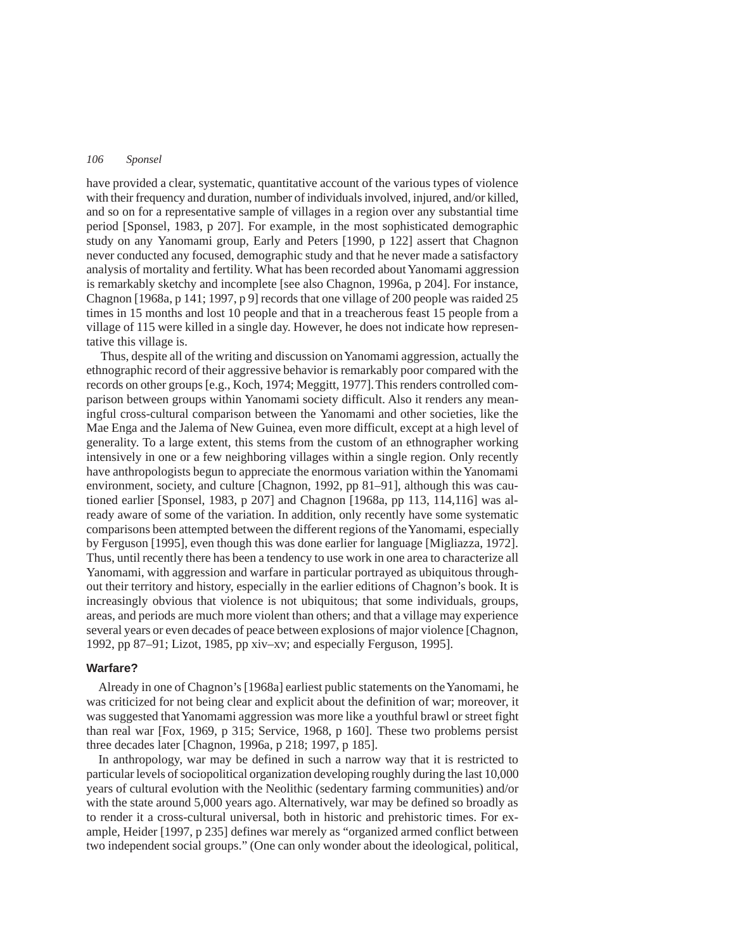have provided a clear, systematic, quantitative account of the various types of violence with their frequency and duration, number of individuals involved, injured, and/or killed, and so on for a representative sample of villages in a region over any substantial time period [Sponsel, 1983, p 207]. For example, in the most sophisticated demographic study on any Yanomami group, Early and Peters [1990, p 122] assert that Chagnon never conducted any focused, demographic study and that he never made a satisfactory analysis of mortality and fertility. What has been recorded about Yanomami aggression is remarkably sketchy and incomplete [see also Chagnon, 1996a, p 204]. For instance, Chagnon [1968a, p 141; 1997, p 9] records that one village of 200 people was raided 25 times in 15 months and lost 10 people and that in a treacherous feast 15 people from a village of 115 were killed in a single day. However, he does not indicate how representative this village is.

 Thus, despite all of the writing and discussion on Yanomami aggression, actually the ethnographic record of their aggressive behavior is remarkably poor compared with the records on other groups [e.g., Koch, 1974; Meggitt, 1977]. This renders controlled comparison between groups within Yanomami society difficult. Also it renders any meaningful cross-cultural comparison between the Yanomami and other societies, like the Mae Enga and the Jalema of New Guinea, even more difficult, except at a high level of generality. To a large extent, this stems from the custom of an ethnographer working intensively in one or a few neighboring villages within a single region. Only recently have anthropologists begun to appreciate the enormous variation within the Yanomami environment, society, and culture [Chagnon, 1992, pp 81–91], although this was cautioned earlier [Sponsel, 1983, p 207] and Chagnon [1968a, pp 113, 114,116] was already aware of some of the variation. In addition, only recently have some systematic comparisons been attempted between the different regions of the Yanomami, especially by Ferguson [1995], even though this was done earlier for language [Migliazza, 1972]. Thus, until recently there has been a tendency to use work in one area to characterize all Yanomami, with aggression and warfare in particular portrayed as ubiquitous throughout their territory and history, especially in the earlier editions of Chagnon's book. It is increasingly obvious that violence is not ubiquitous; that some individuals, groups, areas, and periods are much more violent than others; and that a village may experience several years or even decades of peace between explosions of major violence [Chagnon, 1992, pp 87–91; Lizot, 1985, pp xiv–xv; and especially Ferguson, 1995].

#### **Warfare?**

Already in one of Chagnon's [1968a] earliest public statements on the Yanomami, he was criticized for not being clear and explicit about the definition of war; moreover, it was suggested that Yanomami aggression was more like a youthful brawl or street fight than real war [Fox, 1969, p 315; Service, 1968, p 160]. These two problems persist three decades later [Chagnon, 1996a, p 218; 1997, p 185].

In anthropology, war may be defined in such a narrow way that it is restricted to particular levels of sociopolitical organization developing roughly during the last 10,000 years of cultural evolution with the Neolithic (sedentary farming communities) and/or with the state around 5,000 years ago. Alternatively, war may be defined so broadly as to render it a cross-cultural universal, both in historic and prehistoric times. For example, Heider [1997, p 235] defines war merely as "organized armed conflict between two independent social groups." (One can only wonder about the ideological*,* political,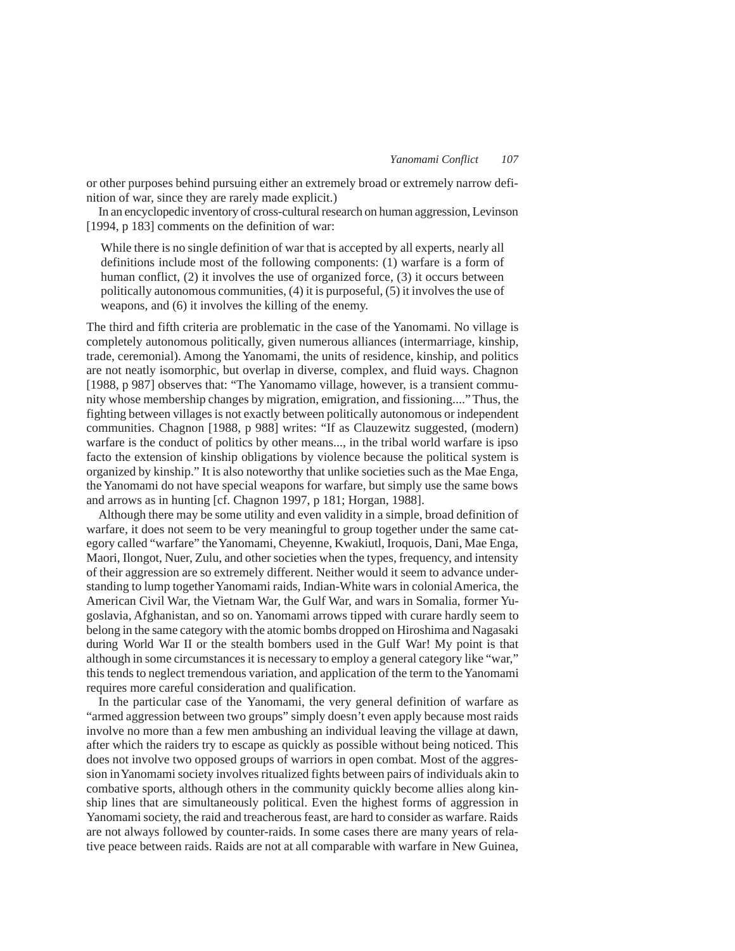or other purposes behind pursuing either an extremely broad or extremely narrow definition of war, since they are rarely made explicit.)

In an encyclopedic inventory of cross-cultural research on human aggression, Levinson [1994, p 183] comments on the definition of war:

While there is no single definition of war that is accepted by all experts, nearly all definitions include most of the following components: (1) warfare is a form of human conflict, (2) it involves the use of organized force, (3) it occurs between politically autonomous communities, (4) it is purposeful, (5) it involves the use of weapons, and (6) it involves the killing of the enemy.

The third and fifth criteria are problematic in the case of the Yanomami. No village is completely autonomous politically, given numerous alliances (intermarriage, kinship, trade, ceremonial). Among the Yanomami, the units of residence, kinship, and politics are not neatly isomorphic, but overlap in diverse, complex, and fluid ways. Chagnon [1988, p 987] observes that: "The Yanomamo village, however, is a transient community whose membership changes by migration, emigration, and fissioning...." Thus, the fighting between villages is not exactly between politically autonomous or independent communities. Chagnon [1988, p 988] writes: "If as Clauzewitz suggested, (modern) warfare is the conduct of politics by other means..., in the tribal world warfare is ipso facto the extension of kinship obligations by violence because the political system is organized by kinship." It is also noteworthy that unlike societies such as the Mae Enga, the Yanomami do not have special weapons for warfare, but simply use the same bows and arrows as in hunting [cf. Chagnon 1997, p 181; Horgan, 1988].

Although there may be some utility and even validity in a simple, broad definition of warfare, it does not seem to be very meaningful to group together under the same category called "warfare" the Yanomami, Cheyenne, Kwakiutl, Iroquois, Dani, Mae Enga, Maori, Ilongot, Nuer, Zulu, and other societies when the types, frequency, and intensity of their aggression are so extremely different. Neither would it seem to advance understanding to lump together Yanomami raids, Indian-White wars in colonial America, the American Civil War, the Vietnam War, the Gulf War, and wars in Somalia, former Yugoslavia, Afghanistan, and so on. Yanomami arrows tipped with curare hardly seem to belong in the same category with the atomic bombs dropped on Hiroshima and Nagasaki during World War II or the stealth bombers used in the Gulf War! My point is that although in some circumstances it is necessary to employ a general category like "war," this tends to neglect tremendous variation, and application of the term to the Yanomami requires more careful consideration and qualification.

In the particular case of the Yanomami, the very general definition of warfare as "armed aggression between two groups" simply doesn't even apply because most raids involve no more than a few men ambushing an individual leaving the village at dawn, after which the raiders try to escape as quickly as possible without being noticed. This does not involve two opposed groups of warriors in open combat. Most of the aggression in Yanomami society involves ritualized fights between pairs of individuals akin to combative sports, although others in the community quickly become allies along kinship lines that are simultaneously political. Even the highest forms of aggression in Yanomami society, the raid and treacherous feast, are hard to consider as warfare. Raids are not always followed by counter-raids. In some cases there are many years of relative peace between raids. Raids are not at all comparable with warfare in New Guinea,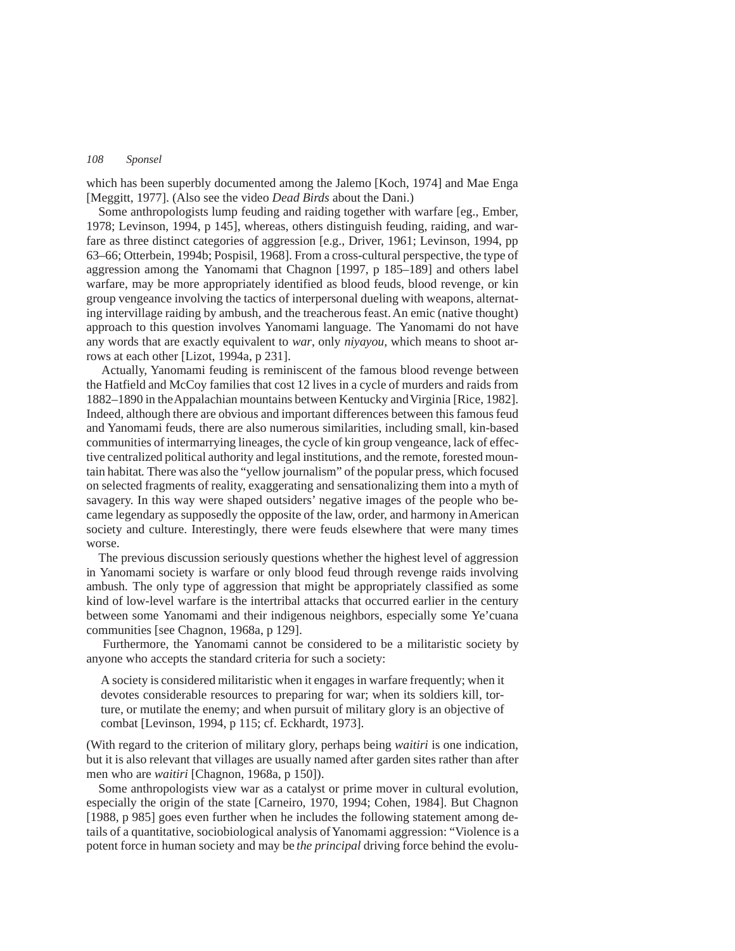which has been superbly documented among the Jalemo [Koch, 1974] and Mae Enga [Meggitt, 1977]. (Also see the video *Dead Birds* about the Dani.)

Some anthropologists lump feuding and raiding together with warfare [eg., Ember, 1978; Levinson, 1994, p 145], whereas, others distinguish feuding, raiding, and warfare as three distinct categories of aggression [e.g., Driver, 1961; Levinson, 1994, pp 63–66; Otterbein, 1994b; Pospisil, 1968]. From a cross-cultural perspective, the type of aggression among the Yanomami that Chagnon [1997, p 185–189] and others label warfare, may be more appropriately identified as blood feuds, blood revenge, or kin group vengeance involving the tactics of interpersonal dueling with weapons, alternating intervillage raiding by ambush, and the treacherous feast. An emic (native thought) approach to this question involves Yanomami language. The Yanomami do not have any words that are exactly equivalent to *war*, only *niyayou,* which means to shoot arrows at each other [Lizot, 1994a, p 231].

 Actually, Yanomami feuding is reminiscent of the famous blood revenge between the Hatfield and McCoy families that cost 12 lives in a cycle of murders and raids from 1882–1890 in the Appalachian mountains between Kentucky and Virginia [Rice, 1982]. Indeed, although there are obvious and important differences between this famous feud and Yanomami feuds, there are also numerous similarities, including small, kin-based communities of intermarrying lineages, the cycle of kin group vengeance, lack of effective centralized political authority and legal institutions, and the remote, forested mountain habitat*.* There was also the "yellow journalism" of the popular press, which focused on selected fragments of reality, exaggerating and sensationalizing them into a myth of savagery. In this way were shaped outsiders' negative images of the people who became legendary as supposedly the opposite of the law, order, and harmony in American society and culture. Interestingly, there were feuds elsewhere that were many times worse.

The previous discussion seriously questions whether the highest level of aggression in Yanomami society is warfare or only blood feud through revenge raids involving ambush. The only type of aggression that might be appropriately classified as some kind of low-level warfare is the intertribal attacks that occurred earlier in the century between some Yanomami and their indigenous neighbors, especially some Ye'cuana communities [see Chagnon, 1968a, p 129].

 Furthermore, the Yanomami cannot be considered to be a militaristic society by anyone who accepts the standard criteria for such a society:

A society is considered militaristic when it engages in warfare frequently; when it devotes considerable resources to preparing for war; when its soldiers kill, torture, or mutilate the enemy; and when pursuit of military glory is an objective of combat [Levinson, 1994, p 115; cf. Eckhardt, 1973].

(With regard to the criterion of military glory, perhaps being *waitiri* is one indication, but it is also relevant that villages are usually named after garden sites rather than after men who are *waitiri* [Chagnon, 1968a, p 150]).

Some anthropologists view war as a catalyst or prime mover in cultural evolution, especially the origin of the state [Carneiro, 1970, 1994; Cohen, 1984]. But Chagnon [1988, p 985] goes even further when he includes the following statement among details of a quantitative, sociobiological analysis of Yanomami aggression: "Violence is a potent force in human society and may be *the principal* driving force behind the evolu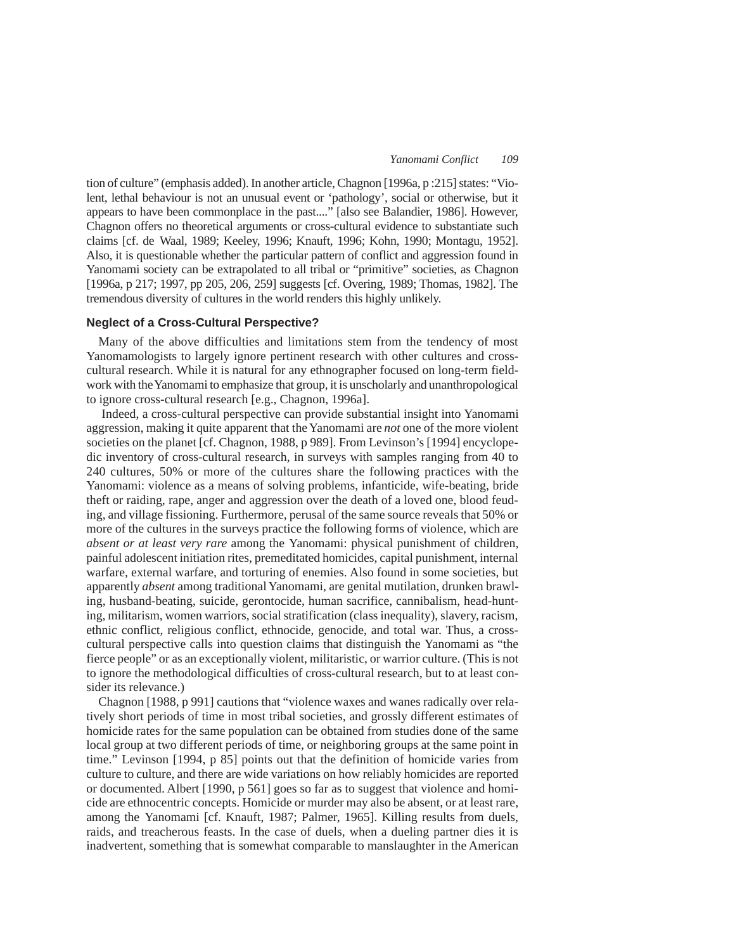tion of culture" (emphasis added). In another article, Chagnon [1996a, p :215] states: "Violent, lethal behaviour is not an unusual event or 'pathology', social or otherwise, but it appears to have been commonplace in the past...." [also see Balandier, 1986]. However, Chagnon offers no theoretical arguments or cross-cultural evidence to substantiate such claims [cf. de Waal, 1989; Keeley, 1996; Knauft, 1996; Kohn, 1990; Montagu, 1952]. Also, it is questionable whether the particular pattern of conflict and aggression found in Yanomami society can be extrapolated to all tribal or "primitive" societies, as Chagnon [1996a, p 217; 1997, pp 205, 206, 259] suggests [cf. Overing, 1989; Thomas, 1982]. The tremendous diversity of cultures in the world renders this highly unlikely.

## **Neglect of a Cross-Cultural Perspective?**

Many of the above difficulties and limitations stem from the tendency of most Yanomamologists to largely ignore pertinent research with other cultures and crosscultural research. While it is natural for any ethnographer focused on long-term fieldwork with the Yanomami to emphasize that group, it is unscholarly and unanthropological to ignore cross-cultural research [e.g., Chagnon, 1996a].

 Indeed, a cross-cultural perspective can provide substantial insight into Yanomami aggression, making it quite apparent that the Yanomami are *not* one of the more violent societies on the planet [cf. Chagnon, 1988, p 989]. From Levinson's [1994] encyclopedic inventory of cross-cultural research, in surveys with samples ranging from 40 to 240 cultures, 50% or more of the cultures share the following practices with the Yanomami: violence as a means of solving problems, infanticide, wife-beating, bride theft or raiding, rape, anger and aggression over the death of a loved one, blood feuding, and village fissioning. Furthermore, perusal of the same source reveals that 50% or more of the cultures in the surveys practice the following forms of violence, which are *absent or at least very rare* among the Yanomami: physical punishment of children, painful adolescent initiation rites, premeditated homicides, capital punishment, internal warfare, external warfare, and torturing of enemies. Also found in some societies, but apparently *absent* among traditional Yanomami, are genital mutilation, drunken brawling, husband-beating, suicide, gerontocide, human sacrifice, cannibalism, head-hunting, militarism, women warriors, social stratification (class inequality), slavery, racism, ethnic conflict, religious conflict, ethnocide, genocide, and total war. Thus, a crosscultural perspective calls into question claims that distinguish the Yanomami as "the fierce people" or as an exceptionally violent, militaristic, or warrior culture. (This is not to ignore the methodological difficulties of cross-cultural research, but to at least consider its relevance.)

Chagnon [1988, p 991] cautions that "violence waxes and wanes radically over relatively short periods of time in most tribal societies, and grossly different estimates of homicide rates for the same population can be obtained from studies done of the same local group at two different periods of time, or neighboring groups at the same point in time." Levinson [1994, p 85] points out that the definition of homicide varies from culture to culture, and there are wide variations on how reliably homicides are reported or documented. Albert [1990, p 561] goes so far as to suggest that violence and homicide are ethnocentric concepts. Homicide or murder may also be absent, or at least rare, among the Yanomami [cf. Knauft, 1987; Palmer, 1965]. Killing results from duels, raids, and treacherous feasts. In the case of duels, when a dueling partner dies it is inadvertent, something that is somewhat comparable to manslaughter in the American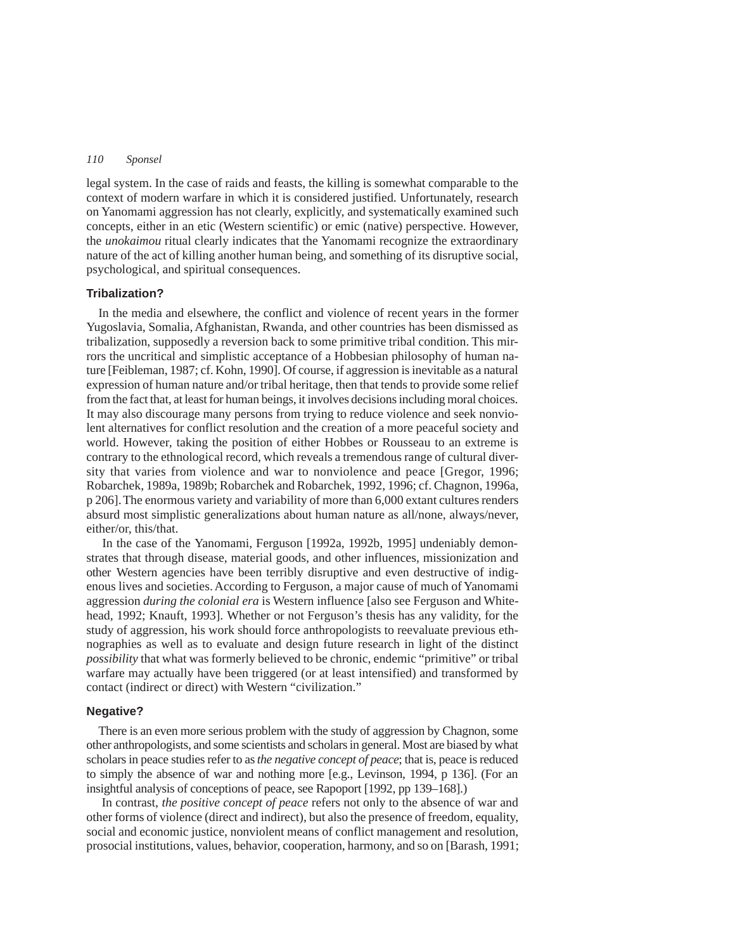legal system. In the case of raids and feasts, the killing is somewhat comparable to the context of modern warfare in which it is considered justified. Unfortunately, research on Yanomami aggression has not clearly, explicitly, and systematically examined such concepts, either in an etic (Western scientific) or emic (native) perspective. However, the *unokaimou* ritual clearly indicates that the Yanomami recognize the extraordinary nature of the act of killing another human being, and something of its disruptive social, psychological, and spiritual consequences.

## **Tribalization?**

In the media and elsewhere, the conflict and violence of recent years in the former Yugoslavia, Somalia, Afghanistan, Rwanda, and other countries has been dismissed as tribalization, supposedly a reversion back to some primitive tribal condition. This mirrors the uncritical and simplistic acceptance of a Hobbesian philosophy of human nature [Feibleman, 1987; cf. Kohn, 1990]. Of course, if aggression is inevitable as a natural expression of human nature and/or tribal heritage, then that tends to provide some relief from the fact that, at least for human beings, it involves decisions including moral choices. It may also discourage many persons from trying to reduce violence and seek nonviolent alternatives for conflict resolution and the creation of a more peaceful society and world. However, taking the position of either Hobbes or Rousseau to an extreme is contrary to the ethnological record, which reveals a tremendous range of cultural diversity that varies from violence and war to nonviolence and peace [Gregor, 1996; Robarchek, 1989a, 1989b; Robarchek and Robarchek, 1992, 1996; cf. Chagnon, 1996a, p 206]. The enormous variety and variability of more than 6,000 extant cultures renders absurd most simplistic generalizations about human nature as all/none, always/never, either/or, this/that.

 In the case of the Yanomami, Ferguson [1992a, 1992b, 1995] undeniably demonstrates that through disease, material goods, and other influences, missionization and other Western agencies have been terribly disruptive and even destructive of indigenous lives and societies. According to Ferguson, a major cause of much of Yanomami aggression *during the colonial era* is Western influence [also see Ferguson and Whitehead, 1992; Knauft, 1993]. Whether or not Ferguson's thesis has any validity, for the study of aggression, his work should force anthropologists to reevaluate previous ethnographies as well as to evaluate and design future research in light of the distinct *possibility* that what was formerly believed to be chronic, endemic "primitive" or tribal warfare may actually have been triggered (or at least intensified) and transformed by contact (indirect or direct) with Western "civilization."

## **Negative?**

There is an even more serious problem with the study of aggression by Chagnon, some other anthropologists, and some scientists and scholars in general. Most are biased by what scholars in peace studies refer to as *the negative concept of peace*; that is, peace is reduced to simply the absence of war and nothing more [e.g., Levinson, 1994, p 136]. (For an insightful analysis of conceptions of peace, see Rapoport [1992, pp 139–168].)

 In contrast, *the positive concept of peace* refers not only to the absence of war and other forms of violence (direct and indirect), but also the presence of freedom, equality, social and economic justice, nonviolent means of conflict management and resolution, prosocial institutions, values, behavior, cooperation, harmony, and so on [Barash, 1991;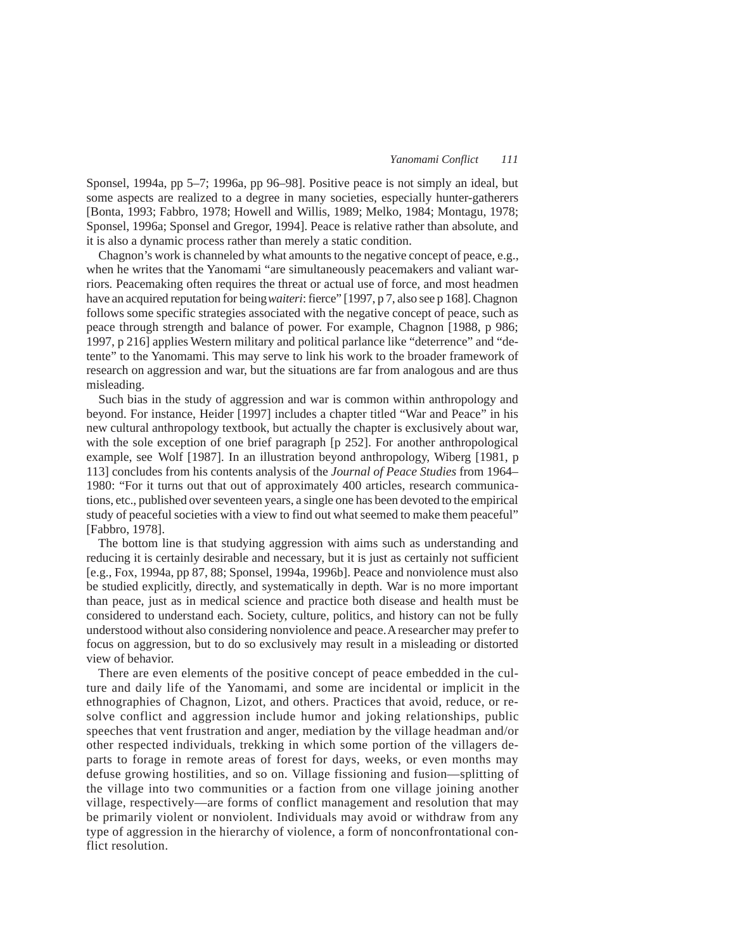Sponsel, 1994a, pp 5–7; 1996a, pp 96–98]. Positive peace is not simply an ideal, but some aspects are realized to a degree in many societies, especially hunter-gatherers [Bonta, 1993; Fabbro, 1978; Howell and Willis, 1989; Melko, 1984; Montagu, 1978; Sponsel, 1996a; Sponsel and Gregor, 1994]. Peace is relative rather than absolute, and it is also a dynamic process rather than merely a static condition.

Chagnon's work is channeled by what amounts to the negative concept of peace, e.g., when he writes that the Yanomami "are simultaneously peacemakers and valiant warriors*.* Peacemaking often requires the threat or actual use of force, and most headmen have an acquired reputation for being *waiteri*: fierce" [1997, p 7, also see p 168]. Chagnon follows some specific strategies associated with the negative concept of peace, such as peace through strength and balance of power. For example, Chagnon [1988, p 986; 1997, p 216] applies Western military and political parlance like "deterrence" and "detente" to the Yanomami. This may serve to link his work to the broader framework of research on aggression and war, but the situations are far from analogous and are thus misleading.

Such bias in the study of aggression and war is common within anthropology and beyond. For instance, Heider [1997] includes a chapter titled "War and Peace" in his new cultural anthropology textbook, but actually the chapter is exclusively about war, with the sole exception of one brief paragraph [p 252]. For another anthropological example, see Wolf [1987]. In an illustration beyond anthropology, Wiberg [1981, p 113] concludes from his contents analysis of the *Journal of Peace Studies* from 1964– 1980: "For it turns out that out of approximately 400 articles, research communications, etc., published over seventeen years, a single one has been devoted to the empirical study of peaceful societies with a view to find out what seemed to make them peaceful" [Fabbro, 1978].

The bottom line is that studying aggression with aims such as understanding and reducing it is certainly desirable and necessary, but it is just as certainly not sufficient [e.g., Fox, 1994a, pp 87, 88; Sponsel, 1994a, 1996b]. Peace and nonviolence must also be studied explicitly, directly, and systematically in depth. War is no more important than peace, just as in medical science and practice both disease and health must be considered to understand each. Society, culture, politics, and history can not be fully understood without also considering nonviolence and peace. A researcher may prefer to focus on aggression, but to do so exclusively may result in a misleading or distorted view of behavior.

There are even elements of the positive concept of peace embedded in the culture and daily life of the Yanomami, and some are incidental or implicit in the ethnographies of Chagnon, Lizot, and others. Practices that avoid, reduce, or resolve conflict and aggression include humor and joking relationships, public speeches that vent frustration and anger, mediation by the village headman and/or other respected individuals, trekking in which some portion of the villagers departs to forage in remote areas of forest for days, weeks, or even months may defuse growing hostilities, and so on. Village fissioning and fusion—splitting of the village into two communities or a faction from one village joining another village, respectively—are forms of conflict management and resolution that may be primarily violent or nonviolent. Individuals may avoid or withdraw from any type of aggression in the hierarchy of violence, a form of nonconfrontational conflict resolution.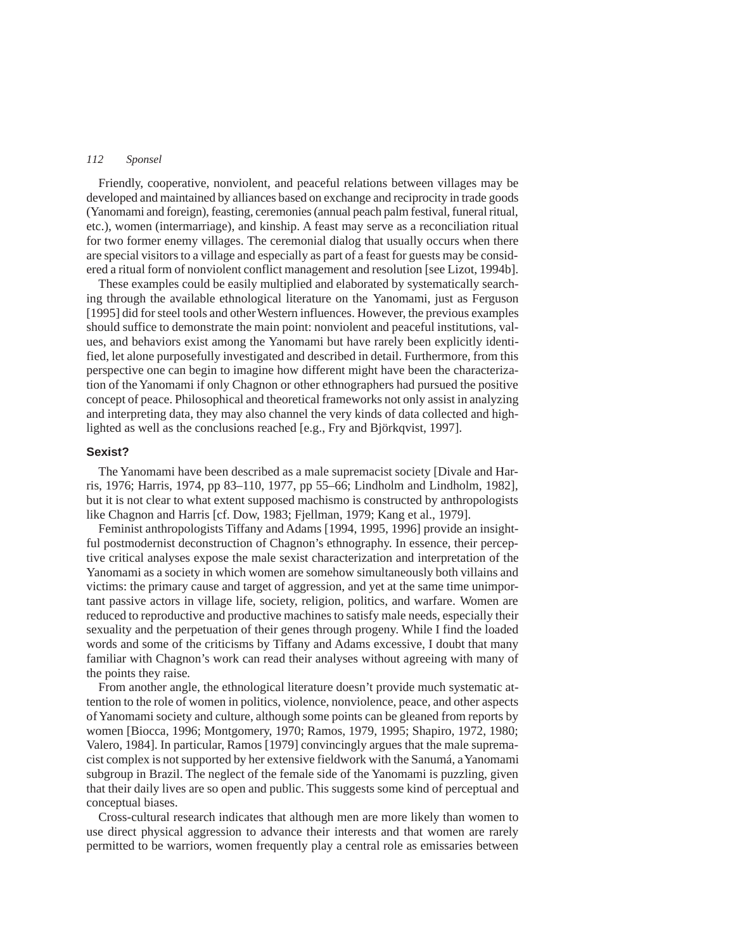Friendly, cooperative, nonviolent, and peaceful relations between villages may be developed and maintained by alliances based on exchange and reciprocity in trade goods (Yanomami and foreign), feasting, ceremonies (annual peach palm festival, funeral ritual, etc.), women (intermarriage), and kinship. A feast may serve as a reconciliation ritual for two former enemy villages. The ceremonial dialog that usually occurs when there are special visitors to a village and especially as part of a feast for guests may be considered a ritual form of nonviolent conflict management and resolution [see Lizot, 1994b].

These examples could be easily multiplied and elaborated by systematically searching through the available ethnological literature on the Yanomami, just as Ferguson [1995] did for steel tools and other Western influences. However, the previous examples should suffice to demonstrate the main point: nonviolent and peaceful institutions, values, and behaviors exist among the Yanomami but have rarely been explicitly identified, let alone purposefully investigated and described in detail. Furthermore, from this perspective one can begin to imagine how different might have been the characterization of the Yanomami if only Chagnon or other ethnographers had pursued the positive concept of peace. Philosophical and theoretical frameworks not only assist in analyzing and interpreting data, they may also channel the very kinds of data collected and highlighted as well as the conclusions reached [e.g., Fry and Björkqvist, 1997].

#### **Sexist?**

The Yanomami have been described as a male supremacist society [Divale and Harris, 1976; Harris, 1974, pp 83–110, 1977, pp 55–66; Lindholm and Lindholm, 1982], but it is not clear to what extent supposed machismo is constructed by anthropologists like Chagnon and Harris [cf. Dow, 1983; Fjellman, 1979; Kang et al., 1979].

Feminist anthropologists Tiffany and Adams [1994, 1995, 1996] provide an insightful postmodernist deconstruction of Chagnon's ethnography. In essence, their perceptive critical analyses expose the male sexist characterization and interpretation of the Yanomami as a society in which women are somehow simultaneously both villains and victims: the primary cause and target of aggression, and yet at the same time unimportant passive actors in village life, society, religion, politics, and warfare. Women are reduced to reproductive and productive machines to satisfy male needs, especially their sexuality and the perpetuation of their genes through progeny. While I find the loaded words and some of the criticisms by Tiffany and Adams excessive, I doubt that many familiar with Chagnon's work can read their analyses without agreeing with many of the points they raise*.*

From another angle, the ethnological literature doesn't provide much systematic attention to the role of women in politics, violence, nonviolence, peace, and other aspects of Yanomami society and culture, although some points can be gleaned from reports by women [Biocca, 1996; Montgomery, 1970; Ramos, 1979, 1995; Shapiro, 1972, 1980; Valero, 1984]. In particular, Ramos [1979] convincingly argues that the male supremacist complex is not supported by her extensive fieldwork with the Sanumá, a Yanomami subgroup in Brazil. The neglect of the female side of the Yanomami is puzzling, given that their daily lives are so open and public. This suggests some kind of perceptual and conceptual biases.

Cross-cultural research indicates that although men are more likely than women to use direct physical aggression to advance their interests and that women are rarely permitted to be warriors, women frequently play a central role as emissaries between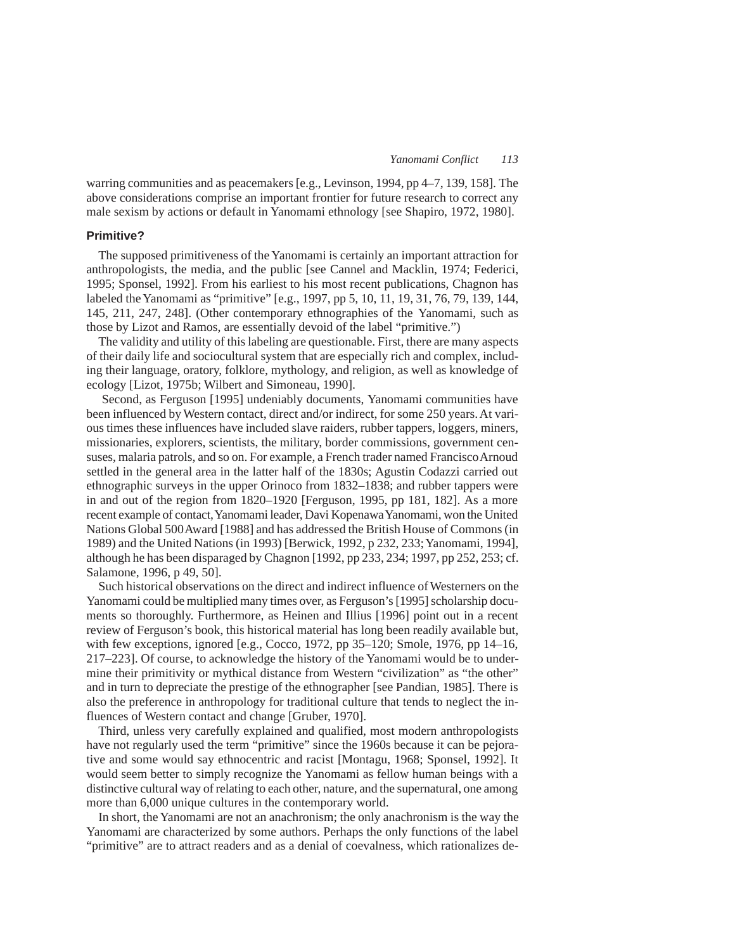warring communities and as peacemakers [e.g., Levinson, 1994, pp 4–7, 139, 158]*.* The above considerations comprise an important frontier for future research to correct any male sexism by actions or default in Yanomami ethnology [see Shapiro, 1972, 1980].

## **Primitive?**

The supposed primitiveness of the Yanomami is certainly an important attraction for anthropologists, the media, and the public [see Cannel and Macklin, 1974; Federici, 1995; Sponsel, 1992]. From his earliest to his most recent publications, Chagnon has labeled the Yanomami as "primitive" [e.g., 1997, pp 5, 10, 11, 19, 31, 76, 79, 139, 144, 145, 211, 247, 248]. (Other contemporary ethnographies of the Yanomami, such as those by Lizot and Ramos, are essentially devoid of the label "primitive.")

The validity and utility of this labeling are questionable. First, there are many aspects of their daily life and sociocultural system that are especially rich and complex, including their language, oratory, folklore, mythology, and religion, as well as knowledge of ecology [Lizot, 1975b; Wilbert and Simoneau, 1990].

 Second, as Ferguson [1995] undeniably documents, Yanomami communities have been influenced by Western contact, direct and/or indirect, for some 250 years. At various times these influences have included slave raiders, rubber tappers, loggers, miners, missionaries, explorers, scientists, the military, border commissions, government censuses, malaria patrols, and so on. For example, a French trader named Francisco Arnoud settled in the general area in the latter half of the 1830s; Agustin Codazzi carried out ethnographic surveys in the upper Orinoco from 1832–1838; and rubber tappers were in and out of the region from 1820–1920 [Ferguson, 1995, pp 181, 182]. As a more recent example of contact, Yanomami leader, Davi Kopenawa Yanomami, won the United Nations Global 500 Award [1988] and has addressed the British House of Commons (in 1989) and the United Nations (in 1993) [Berwick, 1992, p 232, 233; Yanomami, 1994], although he has been disparaged by Chagnon [1992, pp 233, 234; 1997, pp 252, 253; cf. Salamone, 1996, p 49, 50].

Such historical observations on the direct and indirect influence of Westerners on the Yanomami could be multiplied many times over, as Ferguson's [1995] scholarship documents so thoroughly. Furthermore, as Heinen and Illius [1996] point out in a recent review of Ferguson's book, this historical material has long been readily available but, with few exceptions, ignored [e.g., Cocco, 1972, pp 35–120; Smole, 1976, pp 14–16, 217–223]. Of course, to acknowledge the history of the Yanomami would be to undermine their primitivity or mythical distance from Western "civilization" as "the other" and in turn to depreciate the prestige of the ethnographer [see Pandian, 1985]. There is also the preference in anthropology for traditional culture that tends to neglect the influences of Western contact and change [Gruber, 1970].

Third, unless very carefully explained and qualified, most modern anthropologists have not regularly used the term "primitive" since the 1960s because it can be pejorative and some would say ethnocentric and racist [Montagu, 1968; Sponsel, 1992]. It would seem better to simply recognize the Yanomami as fellow human beings with a distinctive cultural way of relating to each other, nature, and the supernatural, one among more than 6,000 unique cultures in the contemporary world.

In short, the Yanomami are not an anachronism; the only anachronism is the way the Yanomami are characterized by some authors. Perhaps the only functions of the label "primitive" are to attract readers and as a denial of coevalness, which rationalizes de-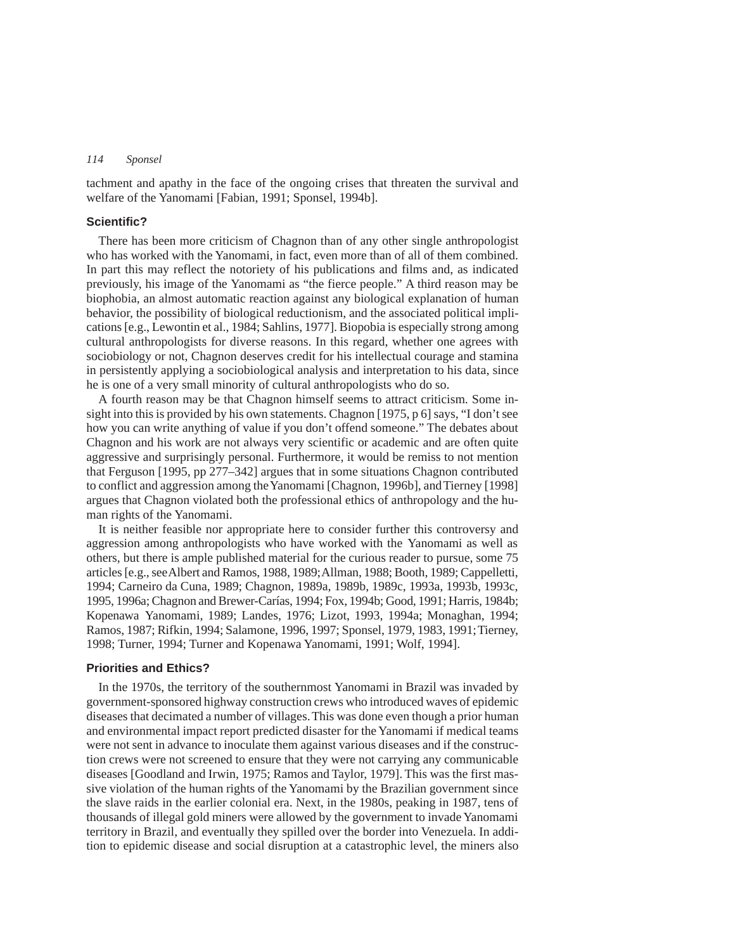tachment and apathy in the face of the ongoing crises that threaten the survival and welfare of the Yanomami [Fabian, 1991; Sponsel, 1994b].

#### **Scientific?**

There has been more criticism of Chagnon than of any other single anthropologist who has worked with the Yanomami, in fact, even more than of all of them combined. In part this may reflect the notoriety of his publications and films and, as indicated previously, his image of the Yanomami as "the fierce people." A third reason may be biophobia, an almost automatic reaction against any biological explanation of human behavior, the possibility of biological reductionism, and the associated political implications [e.g., Lewontin et al., 1984; Sahlins, 1977]. Biopobia is especially strong among cultural anthropologists for diverse reasons. In this regard, whether one agrees with sociobiology or not, Chagnon deserves credit for his intellectual courage and stamina in persistently applying a sociobiological analysis and interpretation to his data, since he is one of a very small minority of cultural anthropologists who do so.

A fourth reason may be that Chagnon himself seems to attract criticism. Some insight into this is provided by his own statements. Chagnon [1975, p 6] says, "I don't see how you can write anything of value if you don't offend someone." The debates about Chagnon and his work are not always very scientific or academic and are often quite aggressive and surprisingly personal. Furthermore, it would be remiss to not mention that Ferguson [1995, pp 277–342] argues that in some situations Chagnon contributed to conflict and aggression among the Yanomami [Chagnon, 1996b], and Tierney [1998] argues that Chagnon violated both the professional ethics of anthropology and the human rights of the Yanomami.

It is neither feasible nor appropriate here to consider further this controversy and aggression among anthropologists who have worked with the Yanomami as well as others, but there is ample published material for the curious reader to pursue, some 75 articles [e.g., see Albert and Ramos, 1988, 1989; Allman, 1988; Booth, 1989; Cappelletti, 1994; Carneiro da Cuna, 1989; Chagnon, 1989a, 1989b, 1989c, 1993a, 1993b, 1993c, 1995, 1996a; Chagnon and Brewer-Carías, 1994; Fox, 1994b; Good, 1991; Harris, 1984b; Kopenawa Yanomami, 1989; Landes, 1976; Lizot, 1993, 1994a; Monaghan, 1994; Ramos, 1987; Rifkin, 1994; Salamone, 1996, 1997; Sponsel, 1979, 1983, 1991; Tierney, 1998; Turner, 1994; Turner and Kopenawa Yanomami, 1991; Wolf, 1994].

#### **Priorities and Ethics?**

In the 1970s, the territory of the southernmost Yanomami in Brazil was invaded by government-sponsored highway construction crews who introduced waves of epidemic diseases that decimated a number of villages. This was done even though a prior human and environmental impact report predicted disaster for the Yanomami if medical teams were not sent in advance to inoculate them against various diseases and if the construction crews were not screened to ensure that they were not carrying any communicable diseases [Goodland and Irwin, 1975; Ramos and Taylor, 1979]. This was the first massive violation of the human rights of the Yanomami by the Brazilian government since the slave raids in the earlier colonial era. Next, in the 1980s, peaking in 1987, tens of thousands of illegal gold miners were allowed by the government to invade Yanomami territory in Brazil, and eventually they spilled over the border into Venezuela. In addition to epidemic disease and social disruption at a catastrophic level, the miners also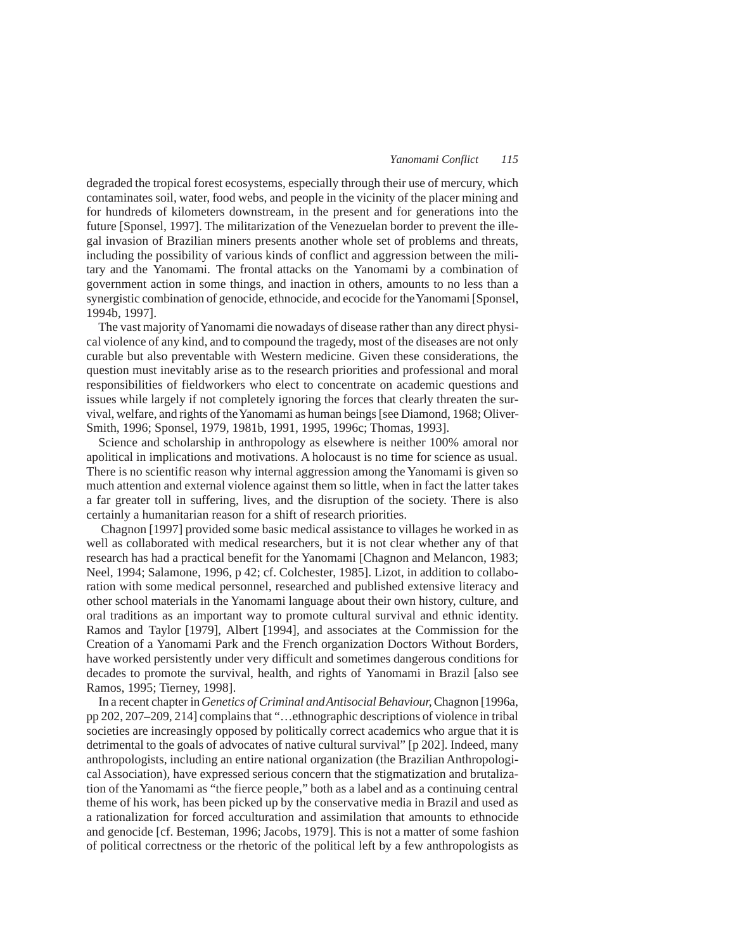degraded the tropical forest ecosystems, especially through their use of mercury, which contaminates soil, water, food webs, and people in the vicinity of the placer mining and for hundreds of kilometers downstream, in the present and for generations into the future [Sponsel, 1997]. The militarization of the Venezuelan border to prevent the illegal invasion of Brazilian miners presents another whole set of problems and threats, including the possibility of various kinds of conflict and aggression between the military and the Yanomami. The frontal attacks on the Yanomami by a combination of government action in some things, and inaction in others, amounts to no less than a synergistic combination of genocide, ethnocide, and ecocide for the Yanomami [Sponsel, 1994b, 1997].

The vast majority of Yanomami die nowadays of disease rather than any direct physical violence of any kind, and to compound the tragedy, most of the diseases are not only curable but also preventable with Western medicine. Given these considerations, the question must inevitably arise as to the research priorities and professional and moral responsibilities of fieldworkers who elect to concentrate on academic questions and issues while largely if not completely ignoring the forces that clearly threaten the survival, welfare, and rights of the Yanomami as human beings [see Diamond, 1968; Oliver-Smith, 1996; Sponsel, 1979, 1981b, 1991, 1995, 1996c; Thomas, 1993].

Science and scholarship in anthropology as elsewhere is neither 100% amoral nor apolitical in implications and motivations. A holocaust is no time for science as usual. There is no scientific reason why internal aggression among the Yanomami is given so much attention and external violence against them so little, when in fact the latter takes a far greater toll in suffering, lives, and the disruption of the society. There is also certainly a humanitarian reason for a shift of research priorities.

 Chagnon [1997] provided some basic medical assistance to villages he worked in as well as collaborated with medical researchers, but it is not clear whether any of that research has had a practical benefit for the Yanomami [Chagnon and Melancon, 1983; Neel, 1994; Salamone, 1996, p 42; cf. Colchester, 1985]. Lizot, in addition to collaboration with some medical personnel, researched and published extensive literacy and other school materials in the Yanomami language about their own history, culture, and oral traditions as an important way to promote cultural survival and ethnic identity. Ramos and Taylor [1979], Albert [1994], and associates at the Commission for the Creation of a Yanomami Park and the French organization Doctors Without Borders, have worked persistently under very difficult and sometimes dangerous conditions for decades to promote the survival, health, and rights of Yanomami in Brazil [also see Ramos, 1995; Tierney, 1998].

In a recent chapter in *Genetics of Criminal and Antisocial Behaviour,* Chagnon [1996a, pp 202, 207–209, 214] complains that "…ethnographic descriptions of violence in tribal societies are increasingly opposed by politically correct academics who argue that it is detrimental to the goals of advocates of native cultural survival" [p 202]. Indeed, many anthropologists, including an entire national organization (the Brazilian Anthropological Association), have expressed serious concern that the stigmatization and brutalization of the Yanomami as "the fierce people," both as a label and as a continuing central theme of his work, has been picked up by the conservative media in Brazil and used as a rationalization for forced acculturation and assimilation that amounts to ethnocide and genocide [cf. Besteman, 1996; Jacobs, 1979]. This is not a matter of some fashion of political correctness or the rhetoric of the political left by a few anthropologists as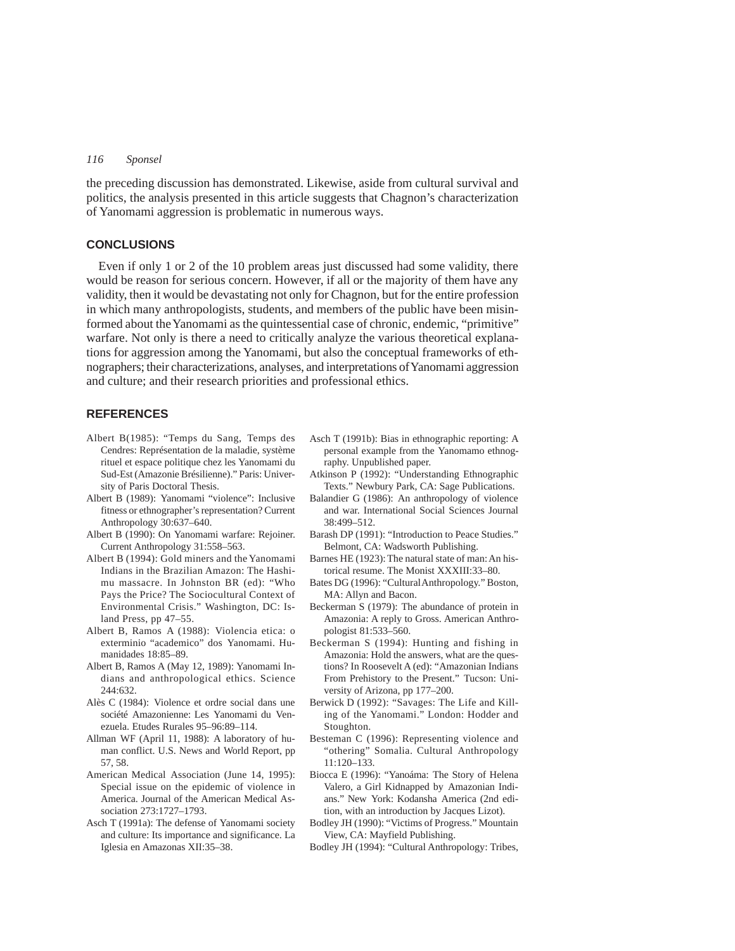the preceding discussion has demonstrated. Likewise, aside from cultural survival and politics, the analysis presented in this article suggests that Chagnon's characterization of Yanomami aggression is problematic in numerous ways.

# **CONCLUSIONS**

Even if only 1 or 2 of the 10 problem areas just discussed had some validity, there would be reason for serious concern. However, if all or the majority of them have any validity, then it would be devastating not only for Chagnon, but for the entire profession in which many anthropologists, students, and members of the public have been misinformed about the Yanomami as the quintessential case of chronic, endemic, "primitive" warfare. Not only is there a need to critically analyze the various theoretical explanations for aggression among the Yanomami, but also the conceptual frameworks of ethnographers; their characterizations, analyses, and interpretations of Yanomami aggression and culture; and their research priorities and professional ethics.

#### **REFERENCES**

- Albert B(1985): "Temps du Sang, Temps des Cendres: Représentation de la maladie, système rituel et espace politique chez les Yanomami du Sud-Est (Amazonie Brésilienne)." Paris: University of Paris Doctoral Thesis.
- Albert B (1989): Yanomami "violence": Inclusive fitness or ethnographer's representation? Current Anthropology 30:637–640.
- Albert B (1990): On Yanomami warfare: Rejoiner. Current Anthropology 31:558–563.
- Albert B (1994): Gold miners and the Yanomami Indians in the Brazilian Amazon: The Hashimu massacre. In Johnston BR (ed): "Who Pays the Price? The Sociocultural Context of Environmental Crisis." Washington, DC: Island Press, pp 47–55.
- Albert B, Ramos A (1988): Violencia etica: o exterminio "academico" dos Yanomami. Humanidades 18:85–89.
- Albert B, Ramos A (May 12, 1989): Yanomami Indians and anthropological ethics. Science 244:632.
- Alès C (1984): Violence et ordre social dans une société Amazonienne: Les Yanomami du Venezuela. Etudes Rurales 95–96:89–114.
- Allman WF (April 11, 1988): A laboratory of human conflict. U.S. News and World Report, pp 57, 58.
- American Medical Association (June 14, 1995): Special issue on the epidemic of violence in America. Journal of the American Medical Association 273:1727–1793.
- Asch T (1991a): The defense of Yanomami society and culture: Its importance and significance. La Iglesia en Amazonas XII:35–38.
- Asch T (1991b): Bias in ethnographic reporting: A personal example from the Yanomamo ethnography. Unpublished paper.
- Atkinson P (1992): "Understanding Ethnographic Texts." Newbury Park, CA: Sage Publications.
- Balandier G (1986): An anthropology of violence and war. International Social Sciences Journal 38:499–512.
- Barash DP (1991): "Introduction to Peace Studies." Belmont, CA: Wadsworth Publishing.
- Barnes HE (1923): The natural state of man: An historical resume. The Monist XXXIII:33–80.
- Bates DG (1996): "Cultural Anthropology." Boston, MA: Allyn and Bacon.
- Beckerman S (1979): The abundance of protein in Amazonia: A reply to Gross. American Anthropologist 81:533–560.
- Beckerman S (1994): Hunting and fishing in Amazonia: Hold the answers, what are the questions? In Roosevelt A (ed): "Amazonian Indians From Prehistory to the Present." Tucson: University of Arizona, pp 177–200.
- Berwick D (1992): "Savages: The Life and Killing of the Yanomami." London: Hodder and Stoughton.
- Besteman C (1996): Representing violence and "othering" Somalia. Cultural Anthropology 11:120–133.
- Biocca E (1996): "Yanoáma: The Story of Helena Valero, a Girl Kidnapped by Amazonian Indians." New York: Kodansha America (2nd edition, with an introduction by Jacques Lizot).
- Bodley JH (1990): "Victims of Progress." Mountain View, CA: Mayfield Publishing.
- Bodley JH (1994): "Cultural Anthropology: Tribes,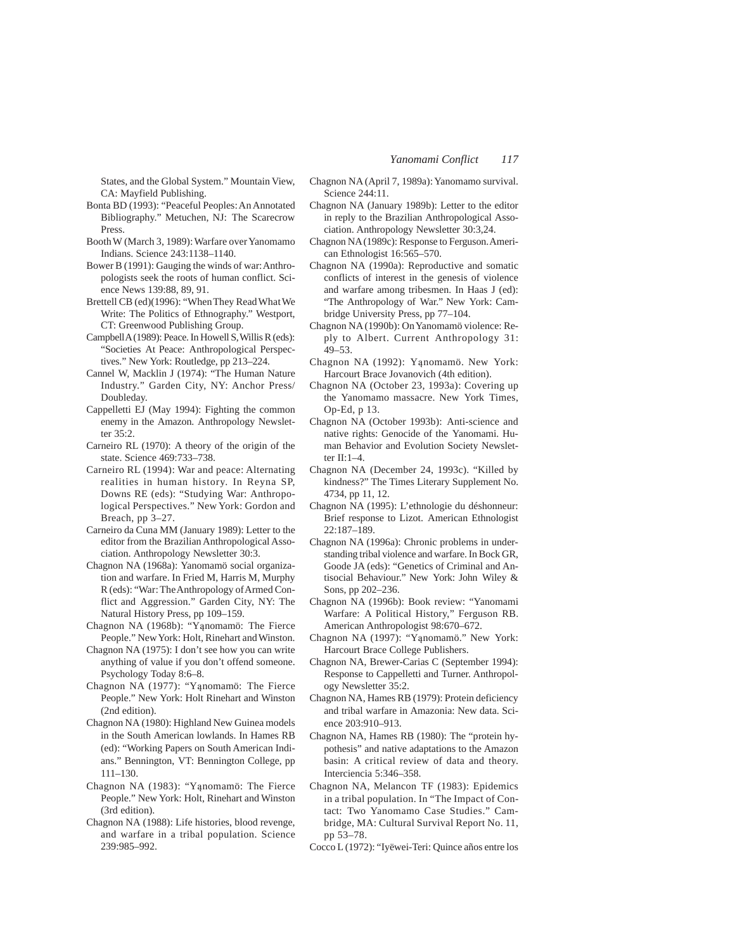States, and the Global System." Mountain View, CA: Mayfield Publishing.

- Bonta BD (1993): "Peaceful Peoples: An Annotated Bibliography." Metuchen, NJ: The Scarecrow Press.
- Booth W (March 3, 1989): Warfare over Yanomamo Indians. Science 243:1138–1140.
- Bower B (1991): Gauging the winds of war: Anthropologists seek the roots of human conflict. Science News 139:88, 89, 91.
- Brettell CB (ed)(1996): "When They Read What We Write: The Politics of Ethnography." Westport, CT: Greenwood Publishing Group.
- Campbell A (1989): Peace. In Howell S, Willis R (eds): "Societies At Peace: Anthropological Perspectives." New York: Routledge, pp 213–224.
- Cannel W, Macklin J (1974): "The Human Nature Industry." Garden City, NY: Anchor Press/ Doubleday.
- Cappelletti EJ (May 1994): Fighting the common enemy in the Amazon. Anthropology Newsletter 35:2.
- Carneiro RL (1970): A theory of the origin of the state. Science 469:733–738.
- Carneiro RL (1994): War and peace: Alternating realities in human history. In Reyna SP, Downs RE (eds): "Studying War: Anthropological Perspectives." New York: Gordon and Breach, pp 3–27.
- Carneiro da Cuna MM (January 1989): Letter to the editor from the Brazilian Anthropological Association. Anthropology Newsletter 30:3.
- Chagnon NA (1968a): Yanomamö social organization and warfare. In Fried M, Harris M, Murphy R (eds): "War: The Anthropology of Armed Conflict and Aggression." Garden City, NY: The Natural History Press, pp 109–159.
- Chagnon NA (1968b): "Yanomamö: The Fierce People." New York: Holt, Rinehart and Winston.
- Chagnon NA (1975): I don't see how you can write anything of value if you don't offend someone. Psychology Today 8:6–8.
- Chagnon NA (1977): "Yanomamö: The Fierce People." New York: Holt Rinehart and Winston (2nd edition).
- Chagnon NA (1980): Highland New Guinea models in the South American lowlands. In Hames RB (ed): "Working Papers on South American Indians." Bennington, VT: Bennington College, pp 111–130.
- Chagnon NA (1983): "Yanomamö: The Fierce People." New York: Holt, Rinehart and Winston (3rd edition).
- Chagnon NA (1988): Life histories, blood revenge, and warfare in a tribal population. Science 239:985–992.
- Chagnon NA (April 7, 1989a): Yanomamo survival. Science 244:11.
- Chagnon NA (January 1989b): Letter to the editor in reply to the Brazilian Anthropological Association. Anthropology Newsletter 30:3,24.
- Chagnon NA (1989c): Response to Ferguson. American Ethnologist 16:565–570.
- Chagnon NA (1990a): Reproductive and somatic conflicts of interest in the genesis of violence and warfare among tribesmen. In Haas J (ed): "The Anthropology of War." New York: Cambridge University Press, pp 77–104.
- Chagnon NA (1990b): On Yanomamö violence: Reply to Albert. Current Anthropology 31: 49–53.
- Chagnon NA (1992): Yanomamö. New York: Harcourt Brace Jovanovich (4th edition).
- Chagnon NA (October 23, 1993a): Covering up the Yanomamo massacre. New York Times, Op-Ed, p 13.
- Chagnon NA (October 1993b): Anti-science and native rights: Genocide of the Yanomami. Human Behavior and Evolution Society Newsletter II:1–4.
- Chagnon NA (December 24, 1993c). "Killed by kindness?" The Times Literary Supplement No. 4734, pp 11, 12.
- Chagnon NA (1995): L'ethnologie du déshonneur: Brief response to Lizot. American Ethnologist 22:187–189.
- Chagnon NA (1996a): Chronic problems in understanding tribal violence and warfare. In Bock GR, Goode JA (eds): "Genetics of Criminal and Antisocial Behaviour." New York: John Wiley & Sons, pp 202–236.
- Chagnon NA (1996b): Book review: "Yanomami Warfare: A Political History," Ferguson RB. American Anthropologist 98:670–672.
- Chagnon NA (1997): "Yanomamö." New York: Harcourt Brace College Publishers.
- Chagnon NA, Brewer-Carias C (September 1994): Response to Cappelletti and Turner. Anthropology Newsletter 35:2.
- Chagnon NA, Hames RB (1979): Protein deficiency and tribal warfare in Amazonia: New data. Science 203:910–913.
- Chagnon NA, Hames RB (1980): The "protein hypothesis" and native adaptations to the Amazon basin: A critical review of data and theory. Interciencia 5:346–358.
- Chagnon NA, Melancon TF (1983): Epidemics in a tribal population. In "The Impact of Contact: Two Yanomamo Case Studies." Cambridge, MA: Cultural Survival Report No. 11, pp 53–78.
- Cocco L (1972): "Iyëwei-Teri: Quince años entre los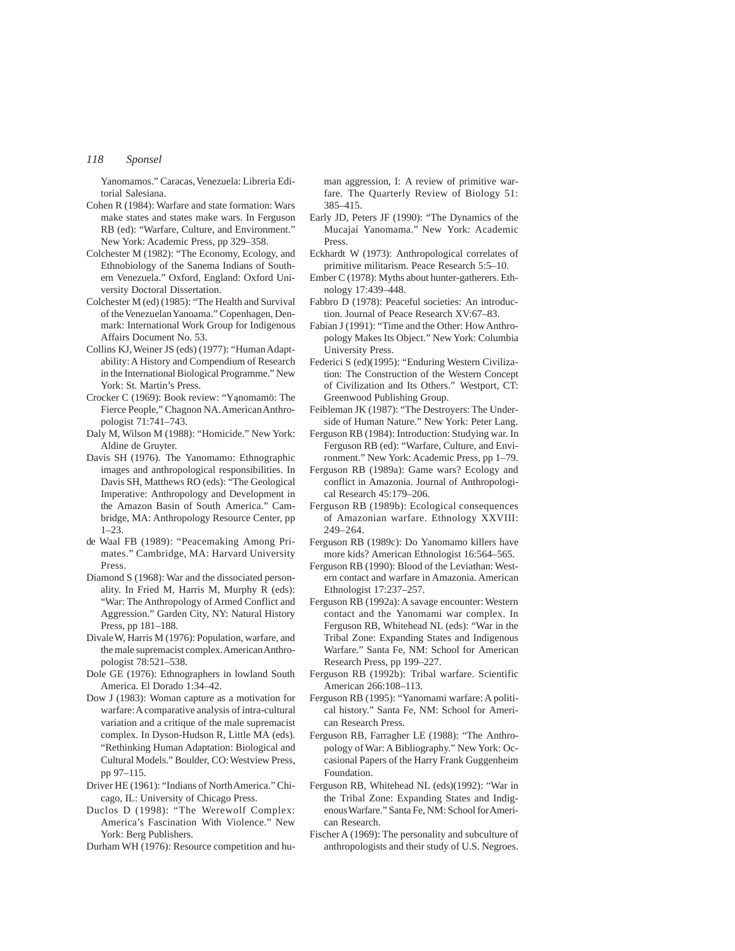Yanomamos." Caracas, Venezuela: Libreria Editorial Salesiana.

- Cohen R (1984): Warfare and state formation: Wars make states and states make wars. In Ferguson RB (ed): "Warfare, Culture, and Environment." New York: Academic Press, pp 329–358.
- Colchester M (1982): "The Economy, Ecology, and Ethnobiology of the Sanema Indians of Southern Venezuela." Oxford, England: Oxford University Doctoral Dissertation.
- Colchester M (ed) (1985): "The Health and Survival of the Venezuelan Yanoama." Copenhagen, Denmark: International Work Group for Indigenous Affairs Document No. 53.
- Collins KJ, Weiner JS (eds) (1977): "Human Adaptability: A History and Compendium of Research in the International Biological Programme." New York: St. Martin's Press.
- Crocker C (1969): Book review: "Yanomamö: The Fierce People," Chagnon NA. American Anthropologist 71:741–743.
- Daly M, Wilson M (1988): "Homicide." New York: Aldine de Gruyter.
- Davis SH (1976). The Yanomamo: Ethnographic images and anthropological responsibilities. In Davis SH, Matthews RO (eds): "The Geological Imperative: Anthropology and Development in the Amazon Basin of South America." Cambridge, MA: Anthropology Resource Center, pp 1–23.
- de Waal FB (1989): "Peacemaking Among Primates." Cambridge, MA: Harvard University Press.
- Diamond S (1968): War and the dissociated personality. In Fried M, Harris M, Murphy R (eds): "War: The Anthropology of Armed Conflict and Aggression." Garden City, NY: Natural History Press, pp 181–188.
- Divale W, Harris M (1976): Population, warfare, and the male supremacist complex. American Anthropologist 78:521–538.
- Dole GE (1976): Ethnographers in lowland South America. El Dorado 1:34–42.
- Dow J (1983): Woman capture as a motivation for warfare: A comparative analysis of intra-cultural variation and a critique of the male supremacist complex. In Dyson-Hudson R, Little MA (eds). "Rethinking Human Adaptation: Biological and Cultural Models." Boulder, CO: Westview Press, pp 97–115.
- Driver HE (1961): "Indians of North America." Chicago, IL: University of Chicago Press.
- Duclos D (1998): "The Werewolf Complex: America's Fascination With Violence." New York: Berg Publishers.
- Durham WH (1976): Resource competition and hu-
- man aggression, I: A review of primitive warfare. The Quarterly Review of Biology 51: 385–415.
- Early JD, Peters JF (1990): "The Dynamics of the Mucajaí Yanomama." New York: Academic Press.
- Eckhardt W (1973): Anthropological correlates of primitive militarism. Peace Research 5:5–10.
- Ember C (1978): Myths about hunter-gatherers. Ethnology 17:439–448.
- Fabbro D (1978): Peaceful societies: An introduction. Journal of Peace Research XV:67–83.
- Fabian J (1991): "Time and the Other: How Anthropology Makes Its Object." New York: Columbia University Press.
- Federici S (ed)(1995): "Enduring Western Civilization: The Construction of the Western Concept of Civilization and Its Others." Westport, CT: Greenwood Publishing Group.
- Feibleman JK (1987): "The Destroyers: The Underside of Human Nature." New York: Peter Lang.
- Ferguson RB (1984): Introduction: Studying war. In Ferguson RB (ed): "Warfare, Culture, and Environment." New York: Academic Press, pp 1–79.
- Ferguson RB (1989a): Game wars? Ecology and conflict in Amazonia. Journal of Anthropological Research 45:179–206.
- Ferguson RB (1989b): Ecological consequences of Amazonian warfare. Ethnology XXVIII: 249–264.
- Ferguson RB (1989c): Do Yanomamo killers have more kids? American Ethnologist 16:564–565.
- Ferguson RB (1990): Blood of the Leviathan: Western contact and warfare in Amazonia. American Ethnologist 17:237–257.
- Ferguson RB (1992a): A savage encounter: Western contact and the Yanomami war complex. In Ferguson RB, Whitehead NL (eds): "War in the Tribal Zone: Expanding States and Indigenous Warfare." Santa Fe, NM: School for American Research Press, pp 199–227.
- Ferguson RB (1992b): Tribal warfare. Scientific American 266:108–113.
- Ferguson RB (1995): "Yanomami warfare: A political history." Santa Fe, NM: School for American Research Press.
- Ferguson RB, Farragher LE (1988): "The Anthropology of War: A Bibliography." New York: Occasional Papers of the Harry Frank Guggenheim Foundation.
- Ferguson RB, Whitehead NL (eds)(1992): "War in the Tribal Zone: Expanding States and Indigenous Warfare." Santa Fe, NM: School for American Research.
- Fischer A (1969): The personality and subculture of anthropologists and their study of U.S. Negroes.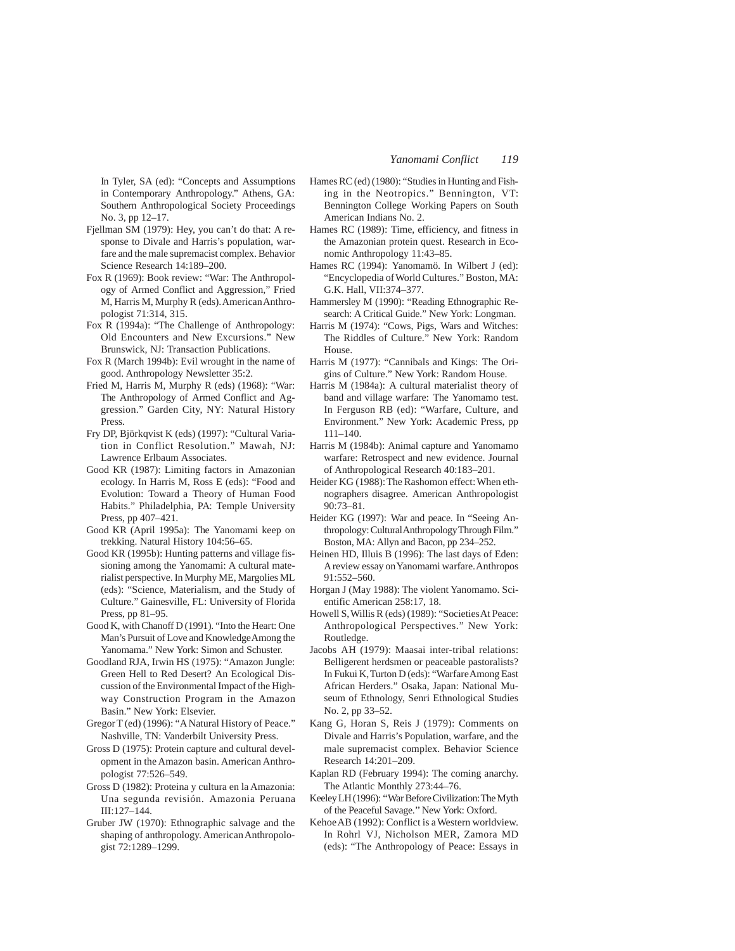In Tyler, SA (ed): "Concepts and Assumptions in Contemporary Anthropology." Athens, GA: Southern Anthropological Society Proceedings No. 3, pp 12–17.

- Fjellman SM (1979): Hey, you can't do that: A response to Divale and Harris's population, warfare and the male supremacist complex. Behavior Science Research 14:189–200.
- Fox R (1969): Book review: "War: The Anthropology of Armed Conflict and Aggression," Fried M, Harris M, Murphy R (eds). American Anthropologist 71:314, 315.
- Fox R (1994a): "The Challenge of Anthropology: Old Encounters and New Excursions." New Brunswick, NJ: Transaction Publications.
- Fox R (March 1994b): Evil wrought in the name of good. Anthropology Newsletter 35:2.
- Fried M, Harris M, Murphy R (eds) (1968): "War: The Anthropology of Armed Conflict and Aggression." Garden City, NY: Natural History Press.
- Fry DP, Björkqvist K (eds) (1997): "Cultural Variation in Conflict Resolution." Mawah, NJ: Lawrence Erlbaum Associates.
- Good KR (1987): Limiting factors in Amazonian ecology. In Harris M, Ross E (eds): "Food and Evolution: Toward a Theory of Human Food Habits." Philadelphia, PA: Temple University Press, pp 407–421.
- Good KR (April 1995a): The Yanomami keep on trekking. Natural History 104:56–65.
- Good KR (1995b): Hunting patterns and village fissioning among the Yanomami: A cultural materialist perspective. In Murphy ME, Margolies ML (eds): "Science, Materialism, and the Study of Culture." Gainesville, FL: University of Florida Press, pp 81–95.
- Good K, with Chanoff D (1991). "Into the Heart: One Man's Pursuit of Love and Knowledge Among the Yanomama." New York: Simon and Schuster.
- Goodland RJA, Irwin HS (1975): "Amazon Jungle: Green Hell to Red Desert? An Ecological Discussion of the Environmental Impact of the Highway Construction Program in the Amazon Basin." New York: Elsevier.
- Gregor T (ed) (1996): "A Natural History of Peace." Nashville, TN: Vanderbilt University Press.
- Gross D (1975): Protein capture and cultural development in the Amazon basin. American Anthropologist 77:526–549.
- Gross D (1982): Proteina y cultura en la Amazonia: Una segunda revisión. Amazonia Peruana III:127–144.
- Gruber JW (1970): Ethnographic salvage and the shaping of anthropology. American Anthropologist 72:1289–1299.
- Hames RC (ed) (1980): "Studies in Hunting and Fishing in the Neotropics." Bennington, VT: Bennington College Working Papers on South American Indians No. 2.
- Hames RC (1989): Time, efficiency, and fitness in the Amazonian protein quest. Research in Economic Anthropology 11:43–85.
- Hames RC (1994): Yanomamö. In Wilbert J (ed): "Encyclopedia of World Cultures." Boston, MA: G.K. Hall, VII:374–377.
- Hammersley M (1990): "Reading Ethnographic Research: A Critical Guide." New York: Longman.
- Harris M (1974): "Cows, Pigs, Wars and Witches: The Riddles of Culture." New York: Random House.
- Harris M (1977): "Cannibals and Kings: The Origins of Culture." New York: Random House.
- Harris M (1984a): A cultural materialist theory of band and village warfare: The Yanomamo test. In Ferguson RB (ed): "Warfare, Culture, and Environment." New York: Academic Press, pp 111–140.
- Harris M (1984b): Animal capture and Yanomamo warfare: Retrospect and new evidence. Journal of Anthropological Research 40:183–201.
- Heider KG (1988): The Rashomon effect: When ethnographers disagree. American Anthropologist 90:73–81.
- Heider KG (1997): War and peace. In "Seeing Anthropology: Cultural Anthropology Through Film." Boston, MA: Allyn and Bacon, pp 234–252.
- Heinen HD, Illuis B (1996): The last days of Eden: A review essay on Yanomami warfare. Anthropos 91:552–560.
- Horgan J (May 1988): The violent Yanomamo. Scientific American 258:17, 18.
- Howell S, Willis R (eds) (1989): "Societies At Peace: Anthropological Perspectives." New York: Routledge.
- Jacobs AH (1979): Maasai inter-tribal relations: Belligerent herdsmen or peaceable pastoralists? In Fukui K, Turton D (eds): "Warfare Among East African Herders." Osaka, Japan: National Museum of Ethnology, Senri Ethnological Studies No. 2, pp 33–52.
- Kang G, Horan S, Reis J (1979): Comments on Divale and Harris's Population, warfare, and the male supremacist complex. Behavior Science Research 14:201–209.
- Kaplan RD (February 1994): The coming anarchy. The Atlantic Monthly 273:44–76.
- Keeley LH (1996): ''War Before Civilization: The Myth of the Peaceful Savage.'' New York: Oxford.
- Kehoe AB (1992): Conflict is a Western worldview. In Rohrl VJ, Nicholson MER, Zamora MD (eds): "The Anthropology of Peace: Essays in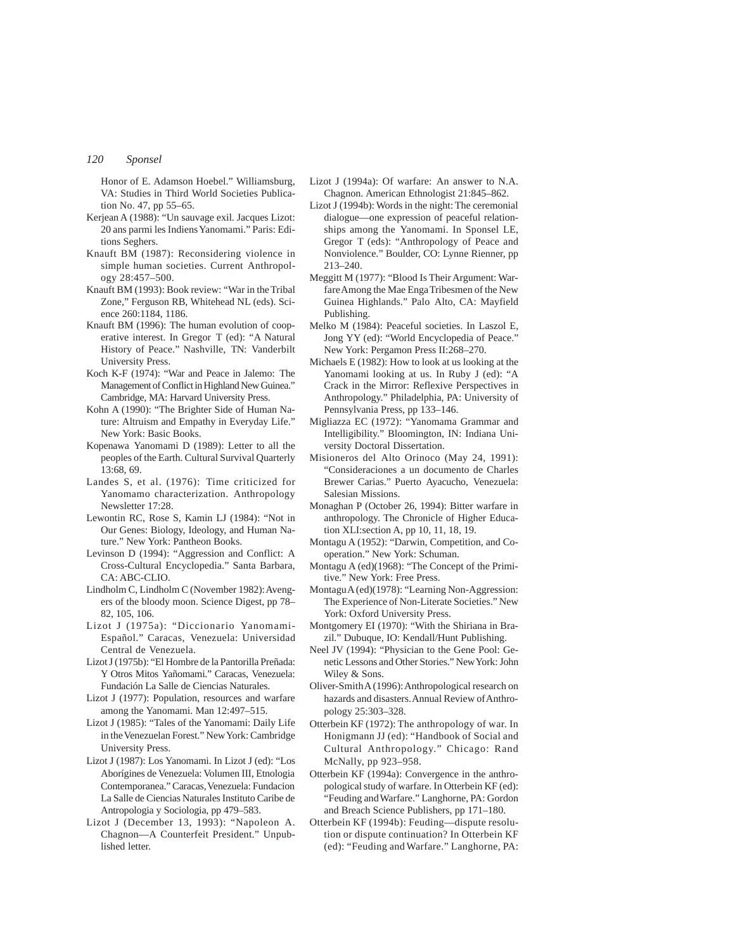Honor of E. Adamson Hoebel." Williamsburg, VA: Studies in Third World Societies Publication No. 47, pp 55–65.

- Kerjean A (1988): "Un sauvage exil. Jacques Lizot: 20 ans parmi les Indiens Yanomami." Paris: Editions Seghers.
- Knauft BM (1987): Reconsidering violence in simple human societies. Current Anthropology 28:457–500.
- Knauft BM (1993): Book review: "War in the Tribal Zone," Ferguson RB, Whitehead NL (eds). Science 260:1184, 1186.
- Knauft BM (1996): The human evolution of cooperative interest. In Gregor T (ed): "A Natural History of Peace." Nashville, TN: Vanderbilt University Press.
- Koch K-F (1974): "War and Peace in Jalemo: The Management of Conflict in Highland New Guinea." Cambridge, MA: Harvard University Press.
- Kohn A (1990): "The Brighter Side of Human Nature: Altruism and Empathy in Everyday Life." New York: Basic Books.
- Kopenawa Yanomami D (1989): Letter to all the peoples of the Earth. Cultural Survival Quarterly 13:68, 69.
- Landes S, et al. (1976): Time criticized for Yanomamo characterization. Anthropology Newsletter 17:28.
- Lewontin RC, Rose S, Kamin LJ (1984): "Not in Our Genes: Biology, Ideology, and Human Nature." New York: Pantheon Books.
- Levinson D (1994): "Aggression and Conflict: A Cross-Cultural Encyclopedia." Santa Barbara, CA: ABC-CLIO.
- Lindholm C, Lindholm C (November 1982): Avengers of the bloody moon. Science Digest, pp 78– 82, 105, 106.
- Lizot J (1975a): "Diccionario Yanomami-Español." Caracas, Venezuela: Universidad Central de Venezuela.
- Lizot J (1975b): "El Hombre de la Pantorilla Preñada: Y Otros Mitos Yañomami." Caracas, Venezuela: Fundación La Salle de Ciencias Naturales.
- Lizot J (1977): Population, resources and warfare among the Yanomami. Man 12:497–515.
- Lizot J (1985): "Tales of the Yanomami: Daily Life in the Venezuelan Forest." New York: Cambridge University Press.
- Lizot J (1987): Los Yanomami. In Lizot J (ed): "Los Aborígines de Venezuela: Volumen III, Etnologia Contemporanea." Caracas, Venezuela: Fundacion La Salle de Ciencias Naturales Instituto Caribe de Antropologia y Sociologia, pp 479–583.
- Lizot J (December 13, 1993): "Napoleon A. Chagnon—A Counterfeit President." Unpublished letter.
- Lizot J (1994a): Of warfare: An answer to N.A. Chagnon. American Ethnologist 21:845–862.
- Lizot J (1994b): Words in the night: The ceremonial dialogue—one expression of peaceful relationships among the Yanomami. In Sponsel LE, Gregor T (eds): "Anthropology of Peace and Nonviolence." Boulder, CO: Lynne Rienner, pp 213–240.
- Meggitt M (1977): "Blood Is Their Argument: Warfare Among the Mae Enga Tribesmen of the New Guinea Highlands." Palo Alto, CA: Mayfield Publishing.
- Melko M (1984): Peaceful societies. In Laszol E, Jong YY (ed): "World Encyclopedia of Peace." New York: Pergamon Press II:268–270.
- Michaels E (1982): How to look at us looking at the Yanomami looking at us. In Ruby J (ed): "A Crack in the Mirror: Reflexive Perspectives in Anthropology." Philadelphia, PA: University of Pennsylvania Press, pp 133–146.
- Migliazza EC (1972): "Yanomama Grammar and Intelligibility." Bloomington, IN: Indiana University Doctoral Dissertation.
- Misioneros del Alto Orinoco (May 24, 1991): "Consideraciones a un documento de Charles Brewer Carias." Puerto Ayacucho, Venezuela: Salesian Missions.
- Monaghan P (October 26, 1994): Bitter warfare in anthropology. The Chronicle of Higher Education XLI:section A, pp 10, 11, 18, 19.
- Montagu A (1952): "Darwin, Competition, and Cooperation." New York: Schuman.
- Montagu A (ed)(1968): "The Concept of the Primitive." New York: Free Press.
- Montagu A (ed)(1978): "Learning Non-Aggression: The Experience of Non-Literate Societies." New York: Oxford University Press.
- Montgomery EI (1970): "With the Shiriana in Brazil." Dubuque, IO: Kendall/Hunt Publishing.
- Neel JV (1994): "Physician to the Gene Pool: Genetic Lessons and Other Stories." New York: John Wiley & Sons.
- Oliver-Smith A (1996): Anthropological research on hazards and disasters. Annual Review of Anthropology 25:303–328.
- Otterbein KF (1972): The anthropology of war. In Honigmann JJ (ed): "Handbook of Social and Cultural Anthropology." Chicago: Rand McNally, pp 923–958.
- Otterbein KF (1994a): Convergence in the anthropological study of warfare. In Otterbein KF (ed): "Feuding and Warfare." Langhorne, PA: Gordon and Breach Science Publishers, pp 171–180.
- Otterbein KF (1994b): Feuding—dispute resolution or dispute continuation? In Otterbein KF (ed): "Feuding and Warfare." Langhorne, PA: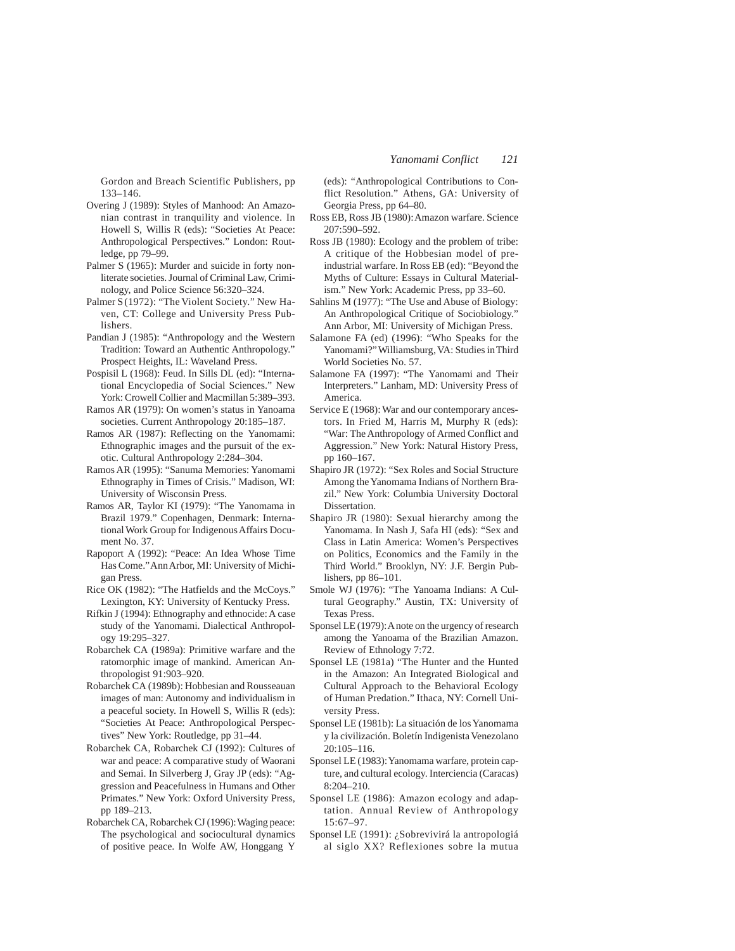Gordon and Breach Scientific Publishers, pp 133–146.

- Overing J (1989): Styles of Manhood: An Amazonian contrast in tranquility and violence. In Howell S, Willis R (eds): "Societies At Peace: Anthropological Perspectives." London: Routledge, pp 79–99.
- Palmer S (1965): Murder and suicide in forty nonliterate societies. Journal of Criminal Law, Criminology, and Police Science 56:320–324.
- Palmer S (1972): "The Violent Society." New Haven, CT: College and University Press Publishers.
- Pandian J (1985): "Anthropology and the Western Tradition: Toward an Authentic Anthropology." Prospect Heights, IL: Waveland Press.
- Pospisil L (1968): Feud. In Sills DL (ed): "International Encyclopedia of Social Sciences." New York: Crowell Collier and Macmillan 5:389–393.
- Ramos AR (1979): On women's status in Yanoama societies. Current Anthropology 20:185–187.
- Ramos AR (1987): Reflecting on the Yanomami: Ethnographic images and the pursuit of the exotic. Cultural Anthropology 2:284–304.
- Ramos AR (1995): "Sanuma Memories: Yanomami Ethnography in Times of Crisis." Madison, WI: University of Wisconsin Press.
- Ramos AR, Taylor KI (1979): "The Yanomama in Brazil 1979." Copenhagen, Denmark: International Work Group for Indigenous Affairs Document No. 37.
- Rapoport A (1992): "Peace: An Idea Whose Time Has Come." Ann Arbor, MI: University of Michigan Press.
- Rice OK (1982): "The Hatfields and the McCoys." Lexington, KY: University of Kentucky Press.
- Rifkin J (1994): Ethnography and ethnocide: A case study of the Yanomami. Dialectical Anthropology 19:295–327.
- Robarchek CA (1989a): Primitive warfare and the ratomorphic image of mankind. American Anthropologist 91:903–920.
- Robarchek CA (1989b): Hobbesian and Rousseauan images of man: Autonomy and individualism in a peaceful society. In Howell S, Willis R (eds): "Societies At Peace: Anthropological Perspectives" New York: Routledge, pp 31–44.
- Robarchek CA, Robarchek CJ (1992): Cultures of war and peace: A comparative study of Waorani and Semai. In Silverberg J, Gray JP (eds): "Aggression and Peacefulness in Humans and Other Primates." New York: Oxford University Press, pp 189–213.
- Robarchek CA, Robarchek CJ (1996): Waging peace: The psychological and sociocultural dynamics of positive peace. In Wolfe AW, Honggang Y

(eds): "Anthropological Contributions to Conflict Resolution." Athens, GA: University of Georgia Press, pp 64–80.

- Ross EB, Ross JB (1980): Amazon warfare. Science 207:590–592.
- Ross JB (1980): Ecology and the problem of tribe: A critique of the Hobbesian model of preindustrial warfare. In Ross EB (ed): "Beyond the Myths of Culture: Essays in Cultural Materialism." New York: Academic Press, pp 33–60.
- Sahlins M (1977): "The Use and Abuse of Biology: An Anthropological Critique of Sociobiology." Ann Arbor, MI: University of Michigan Press.
- Salamone FA (ed) (1996): "Who Speaks for the Yanomami?" Williamsburg, VA: Studies in Third World Societies No. 57.
- Salamone FA (1997): "The Yanomami and Their Interpreters." Lanham, MD: University Press of America.
- Service E (1968): War and our contemporary ancestors. In Fried M, Harris M, Murphy R (eds): "War: The Anthropology of Armed Conflict and Aggression." New York: Natural History Press, pp 160–167.
- Shapiro JR (1972): "Sex Roles and Social Structure Among the Yanomama Indians of Northern Brazil." New York: Columbia University Doctoral Dissertation.
- Shapiro JR (1980): Sexual hierarchy among the Yanomama. In Nash J, Safa HI (eds): "Sex and Class in Latin America: Women's Perspectives on Politics, Economics and the Family in the Third World." Brooklyn, NY: J.F. Bergin Publishers, pp 86–101.
- Smole WJ (1976): "The Yanoama Indians: A Cultural Geography." Austin, TX: University of Texas Press.
- Sponsel LE (1979): A note on the urgency of research among the Yanoama of the Brazilian Amazon. Review of Ethnology 7:72.
- Sponsel LE (1981a) "The Hunter and the Hunted in the Amazon: An Integrated Biological and Cultural Approach to the Behavioral Ecology of Human Predation." Ithaca, NY: Cornell University Press.
- Sponsel LE (1981b): La situación de los Yanomama y la civilización. Boletín Indigenista Venezolano 20:105–116.
- Sponsel LE (1983): Yanomama warfare, protein capture, and cultural ecology. Interciencia (Caracas) 8:204–210.
- Sponsel LE (1986): Amazon ecology and adaptation. Annual Review of Anthropology 15:67–97.
- Sponsel LE (1991): ¿Sobrevivirá la antropologiá al siglo XX? Reflexiones sobre la mutua